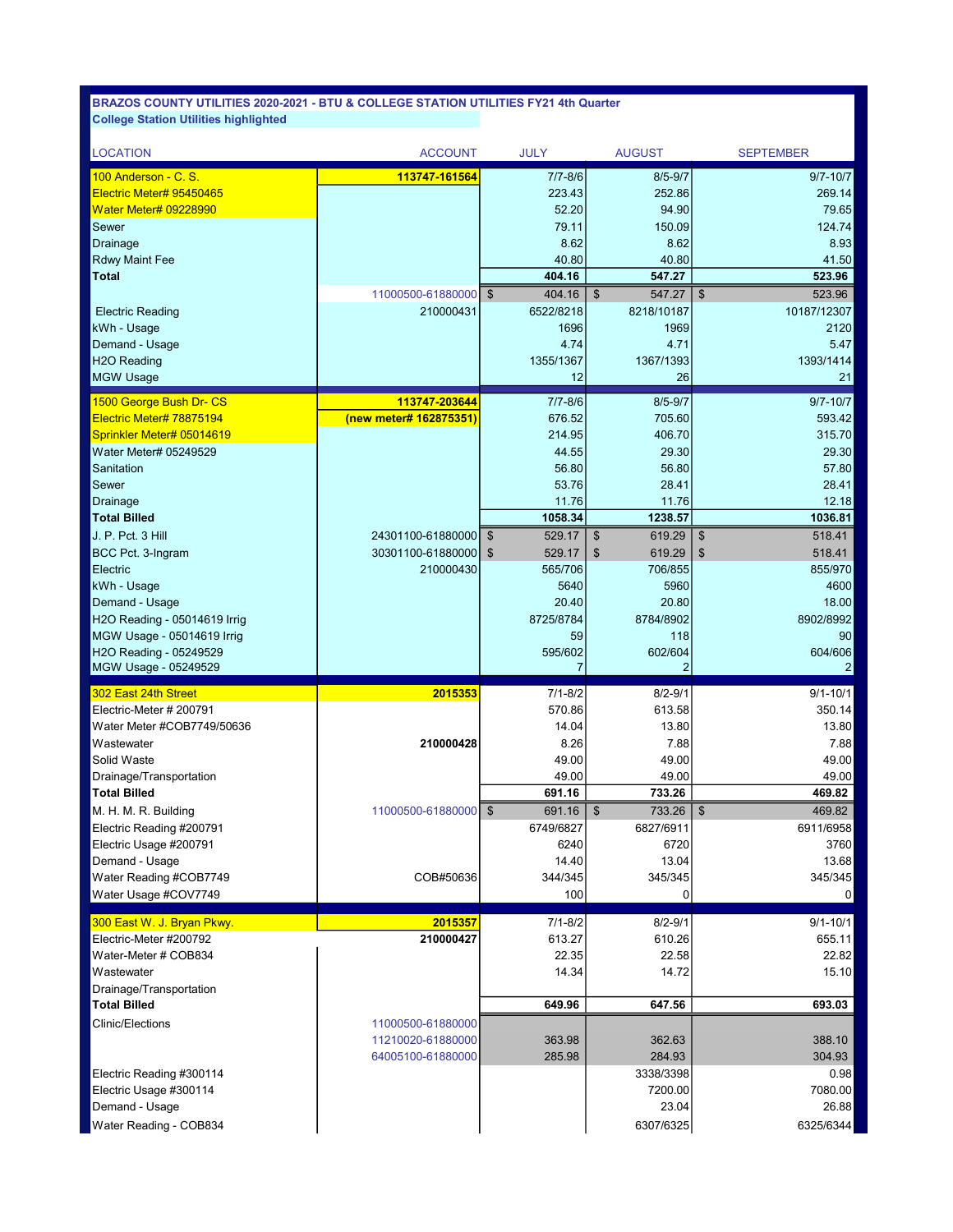| <b>LOCATION</b>               | <b>ACCOUNT</b>                 | <b>JULY</b>              | <b>AUGUST</b>                       | <b>SEPTEMBER</b>                    |
|-------------------------------|--------------------------------|--------------------------|-------------------------------------|-------------------------------------|
| 100 Anderson - C. S.          | 113747-161564                  | $7/7 - 8/6$              | $8/5 - 9/7$                         | $9/7 - 10/7$                        |
| Electric Meter# 95450465      |                                | 223.43                   | 252.86                              | 269.14                              |
| <b>Water Meter# 09228990</b>  |                                | 52.20                    | 94.90                               | 79.65                               |
| Sewer                         |                                | 79.11                    | 150.09                              | 124.74                              |
| Drainage                      |                                | 8.62                     | 8.62                                | 8.93                                |
| <b>Rdwy Maint Fee</b>         |                                | 40.80                    | 40.80                               | 41.50                               |
| Total                         |                                | 404.16                   | 547.27                              | 523.96                              |
|                               | 11000500-61880000              | $\mathfrak{S}$<br>404.16 | $\boldsymbol{\mathsf{S}}$<br>547.27 | $\sqrt[6]{3}$<br>523.96             |
| <b>Electric Reading</b>       | 210000431                      | 6522/8218                | 8218/10187                          | 10187/12307                         |
| kWh - Usage                   |                                | 1696                     | 1969                                | 2120                                |
| Demand - Usage                |                                | 4.74                     | 4.71                                | 5.47                                |
| H <sub>2</sub> O Reading      |                                | 1355/1367                | 1367/1393                           | 1393/1414                           |
| <b>MGW Usage</b>              |                                | 12                       | 26                                  | 21                                  |
| 1500 George Bush Dr- CS       | 113747-203644                  | $7/7 - 8/6$              | $8/5 - 9/7$                         | $9/7 - 10/7$                        |
| Electric Meter# 78875194      | (new meter# 162875351)         | 676.52                   | 705.60                              | 593.42                              |
| Sprinkler Meter# 05014619     |                                | 214.95                   | 406.70                              | 315.70                              |
| Water Meter# 05249529         |                                | 44.55                    | 29.30                               | 29.30                               |
| Sanitation                    |                                | 56.80                    | 56.80                               | 57.80                               |
| Sewer                         |                                | 53.76                    | 28.41                               | 28.41                               |
| Drainage                      |                                | 11.76<br>1058.34         | 11.76<br>1238.57                    | 12.18<br>1036.81                    |
| <b>Total Billed</b>           |                                |                          |                                     |                                     |
| J. P. Pct. 3 Hill             | 24301100-61880000              | $\sqrt[6]{3}$<br>529.17  | \$<br>619.29                        | $\frac{1}{2}$<br>518.41             |
| BCC Pct. 3-Ingram<br>Electric | 30301100-61880000<br>210000430 | 529.17<br>\$<br>565/706  | \$<br>619.29<br>706/855             | 518.41<br>\$<br>855/970             |
| kWh - Usage                   |                                | 5640                     | 5960                                | 4600                                |
| Demand - Usage                |                                | 20.40                    | 20.80                               | 18.00                               |
| H2O Reading - 05014619 Irrig  |                                | 8725/8784                | 8784/8902                           | 8902/8992                           |
| MGW Usage - 05014619 Irrig    |                                | 59                       | 118                                 | 90                                  |
| H2O Reading - 05249529        |                                | 595/602                  | 602/604                             | 604/606                             |
| MGW Usage - 05249529          |                                | 7                        | 2                                   | $\overline{2}$                      |
| 302 East 24th Street          | 2015353                        | $7/1 - 8/2$              | $8/2 - 9/1$                         | $9/1 - 10/1$                        |
| Electric-Meter # 200791       |                                | 570.86                   | 613.58                              | 350.14                              |
| Water Meter #COB7749/50636    |                                | 14.04                    | 13.80                               | 13.80                               |
| Wastewater                    | 210000428                      | 8.26                     | 7.88                                | 7.88                                |
| Solid Waste                   |                                | 49.00                    | 49.00                               | 49.00                               |
| Drainage/Transportation       |                                | 49.00                    | 49.00                               | 49.00                               |
| <b>Total Billed</b>           |                                | 691.16                   | 733.26                              | 469.82                              |
| M. H. M. R. Building          | 11000500-61880000              | \$<br>691.16             | $\boldsymbol{\mathsf{S}}$<br>733.26 | $\boldsymbol{\mathsf{S}}$<br>469.82 |
| Electric Reading #200791      |                                | 6749/6827                | 6827/6911                           | 6911/6958                           |
| Electric Usage #200791        |                                | 6240                     | 6720                                | 3760                                |
| Demand - Usage                |                                | 14.40                    | 13.04                               | 13.68                               |
| Water Reading #COB7749        | COB#50636                      | 344/345                  | 345/345                             | 345/345                             |
| Water Usage #COV7749          |                                | 100                      | 0                                   | 0                                   |
| 300 East W. J. Bryan Pkwy.    | 2015357                        | 7/1-8/2                  | $8/2 - 9/1$                         | $9/1 - 10/1$                        |
| Electric-Meter #200792        | 210000427                      | 613.27                   | 610.26                              | 655.11                              |
| Water-Meter # COB834          |                                | 22.35                    | 22.58                               | 22.82                               |
| Wastewater                    |                                | 14.34                    | 14.72                               | 15.10                               |
| Drainage/Transportation       |                                |                          |                                     |                                     |
| <b>Total Billed</b>           |                                | 649.96                   | 647.56                              | 693.03                              |
| <b>Clinic/Elections</b>       | 11000500-61880000              |                          |                                     |                                     |
|                               | 11210020-61880000              | 363.98                   | 362.63                              | 388.10                              |
|                               | 64005100-61880000              | 285.98                   | 284.93                              | 304.93                              |
| Electric Reading #300114      |                                |                          | 3338/3398                           | 0.98                                |
| Electric Usage #300114        |                                |                          | 7200.00<br>23.04                    | 7080.00<br>26.88                    |
| Demand - Usage                |                                |                          |                                     |                                     |
| Water Reading - COB834        |                                |                          | 6307/6325                           | 6325/6344                           |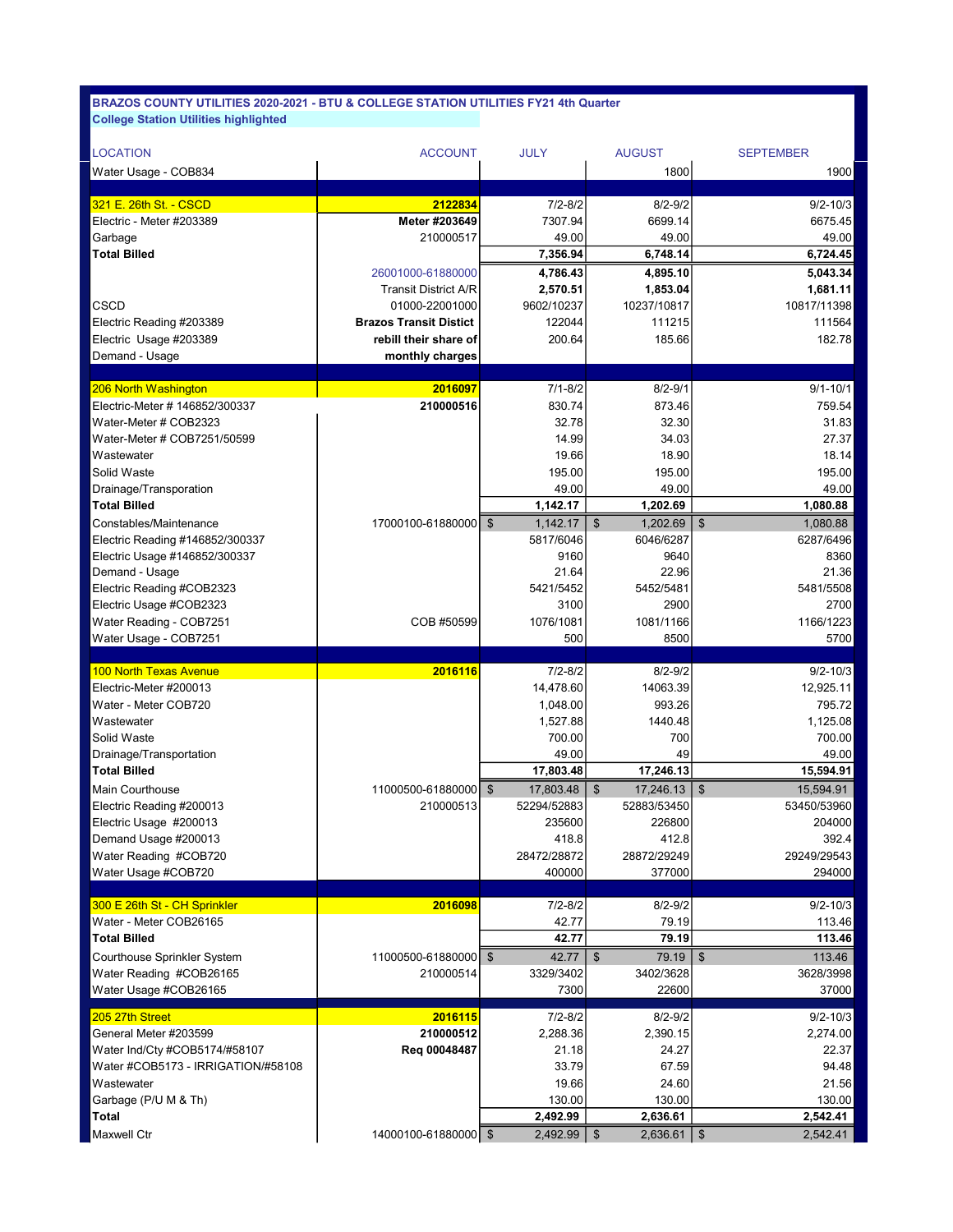| <b>LOCATION</b>                | <b>ACCOUNT</b>                | <b>JULY</b> | <b>AUGUST</b> | <b>SEPTEMBER</b> |
|--------------------------------|-------------------------------|-------------|---------------|------------------|
| Water Usage - COB834           |                               |             | 1800          | 1900             |
|                                |                               |             |               |                  |
| 321 E. 26th St. - CSCD         | 2122834                       | $7/2 - 8/2$ | $8/2 - 9/2$   | $9/2 - 10/3$     |
| Electric - Meter #203389       | Meter #203649                 | 7307.94     | 6699.14       | 6675.45          |
| Garbage                        | 210000517                     | 49.00       | 49.00         | 49.00            |
| <b>Total Billed</b>            |                               | 7,356.94    | 6,748.14      | 6,724.45         |
|                                | 26001000-61880000             | 4,786.43    | 4,895.10      | 5,043.34         |
|                                | <b>Transit District A/R</b>   | 2,570.51    | 1,853.04      | 1,681.11         |
| <b>CSCD</b>                    | 01000-22001000                | 9602/10237  | 10237/10817   | 10817/11398      |
| Electric Reading #203389       | <b>Brazos Transit Distict</b> | 122044      | 111215        | 111564           |
| Electric Usage #203389         | rebill their share of         | 200.64      | 185.66        | 182.78           |
| Demand - Usage                 | monthly charges               |             |               |                  |
|                                |                               |             |               |                  |
| 206 North Washington           | 2016097                       | $7/1 - 8/2$ | $8/2 - 9/1$   | $9/1 - 10/1$     |
| Electric-Meter # 146852/300337 | 210000516                     | 830.74      | 873.46        | 759.54           |
| Water-Meter # COB2323          |                               | 32.78       | 32.30         | 31.83            |
| Water-Meter # COB7251/50599    |                               | 14.99       | 34.03         | 27.37            |
| Wastewater                     |                               | 19.66       | 18.90         | 18.14            |
| Solid Waste                    |                               | 195.00      | 195.00        | 195.00           |
| Drainage/Transporation         |                               | 10 OO       | 40 OO         | 10.00            |

| Water-Meter # COB2323              |                   | 32.78                                | 32.30                                  | 31.83                      |
|------------------------------------|-------------------|--------------------------------------|----------------------------------------|----------------------------|
| Water-Meter # COB7251/50599        |                   | 14.99                                | 34.03                                  | 27.37                      |
| Wastewater                         |                   | 19.66                                | 18.90                                  | 18.14                      |
| Solid Waste                        |                   | 195.00                               | 195.00                                 | 195.00                     |
| Drainage/Transporation             |                   | 49.00                                | 49.00                                  | 49.00                      |
| <b>Total Billed</b>                |                   | 1,142.17                             | 1,202.69                               | 1,080.88                   |
| Constables/Maintenance             | 17000100-61880000 | 1,142.17<br>$\mathfrak{S}$           | 1,202.69<br>$\mathfrak{s}$             | $\mathfrak{S}$<br>1,080.88 |
| Electric Reading #146852/300337    |                   | 5817/6046                            | 6046/6287                              | 6287/6496                  |
| Electric Usage #146852/300337      |                   | 9160                                 | 9640                                   | 8360                       |
| Demand - Usage                     |                   | 21.64                                | 22.96                                  | 21.36                      |
| Electric Reading #COB2323          |                   | 5421/5452                            | 5452/5481                              | 5481/5508                  |
| Electric Usage #COB2323            |                   | 3100                                 | 2900                                   | 2700                       |
| Water Reading - COB7251            | COB #50599        | 1076/1081                            | 1081/1166                              | 1166/1223                  |
| Water Usage - COB7251              |                   | 500                                  | 8500                                   | 5700                       |
|                                    |                   |                                      |                                        |                            |
| <b>100 North Texas Avenue</b>      | 2016116           | $7/2 - 8/2$                          | $8/2 - 9/2$                            | $9/2 - 10/3$               |
| Electric-Meter #200013             |                   | 14,478.60                            | 14063.39                               | 12,925.11                  |
| Water - Meter COB720               |                   | 1,048.00                             | 993.26                                 | 795.72                     |
| Wastewater                         |                   | 1,527.88                             | 1440.48                                | 1,125.08                   |
| Solid Waste                        |                   | 700.00                               | 700                                    | 700.00                     |
| Drainage/Transportation            |                   | 49.00                                | 49                                     | 49.00                      |
| <b>Total Billed</b>                |                   | 17,803.48                            | 17,246.13                              | 15,594.91                  |
| <b>Main Courthouse</b>             | 11000500-61880000 | $\sqrt[6]{\frac{1}{2}}$<br>17,803.48 | $\boldsymbol{\mathsf{S}}$<br>17,246.13 | $\sqrt[6]{3}$<br>15,594.91 |
| Electric Reading #200013           | 210000513         | 52294/52883                          | 52883/53450                            | 53450/53960                |
| Electric Usage #200013             |                   | 235600                               | 226800                                 | 204000                     |
| Demand Usage #200013               |                   | 418.8                                | 412.8                                  | 392.4                      |
| Water Reading #COB720              |                   | 28472/28872                          | 28872/29249                            | 29249/29543                |
| Water Usage #COB720                |                   | 400000                               | 377000                                 | 294000                     |
|                                    |                   |                                      |                                        |                            |
| 300 E 26th St - CH Sprinkler       | 2016098           | $7/2 - 8/2$                          | $8/2 - 9/2$                            | $9/2 - 10/3$               |
| Water - Meter COB26165             |                   | 42.77                                | 79.19                                  | 113.46                     |
| <b>Total Billed</b>                |                   | 42.77                                | 79.19                                  | 113.46                     |
| Courthouse Sprinkler System        | 11000500-61880000 | $\mathfrak{S}$<br>42.77              | $\mathfrak{L}$<br>79.19                | $\sqrt[6]{3}$<br>113.46    |
| Water Reading #COB26165            | 210000514         | 3329/3402                            | 3402/3628                              | 3628/3998                  |
| Water Usage #COB26165              |                   | 7300                                 | 22600                                  | 37000                      |
| 205 27th Street                    | 2016115           | $7/2 - 8/2$                          | $8/2 - 9/2$                            | $9/2 - 10/3$               |
| General Meter #203599              | 210000512         | 2,288.36                             | 2,390.15                               | 2,274.00                   |
| Water Ind/Cty #COB5174/#58107      | Reg 00048487      | 21.18                                | 24.27                                  | 22.37                      |
| Water #COB5173 - IRRIGATION/#58108 |                   | 33.79                                | 67.59                                  | 94.48                      |
| Wastewater                         |                   | 19.66                                | 24.60                                  | 21.56                      |
| Garbage (P/U M & Th)               |                   | 130.00                               | 130.00                                 | 130.00                     |
|                                    |                   | 2,492.99                             | 2,636.61                               | 2,542.41                   |
| Total                              |                   |                                      |                                        |                            |

Maxwell Ctr **14000100-61880000** 2,492.99 | \$ 2,636.61 | \$ 2,542.41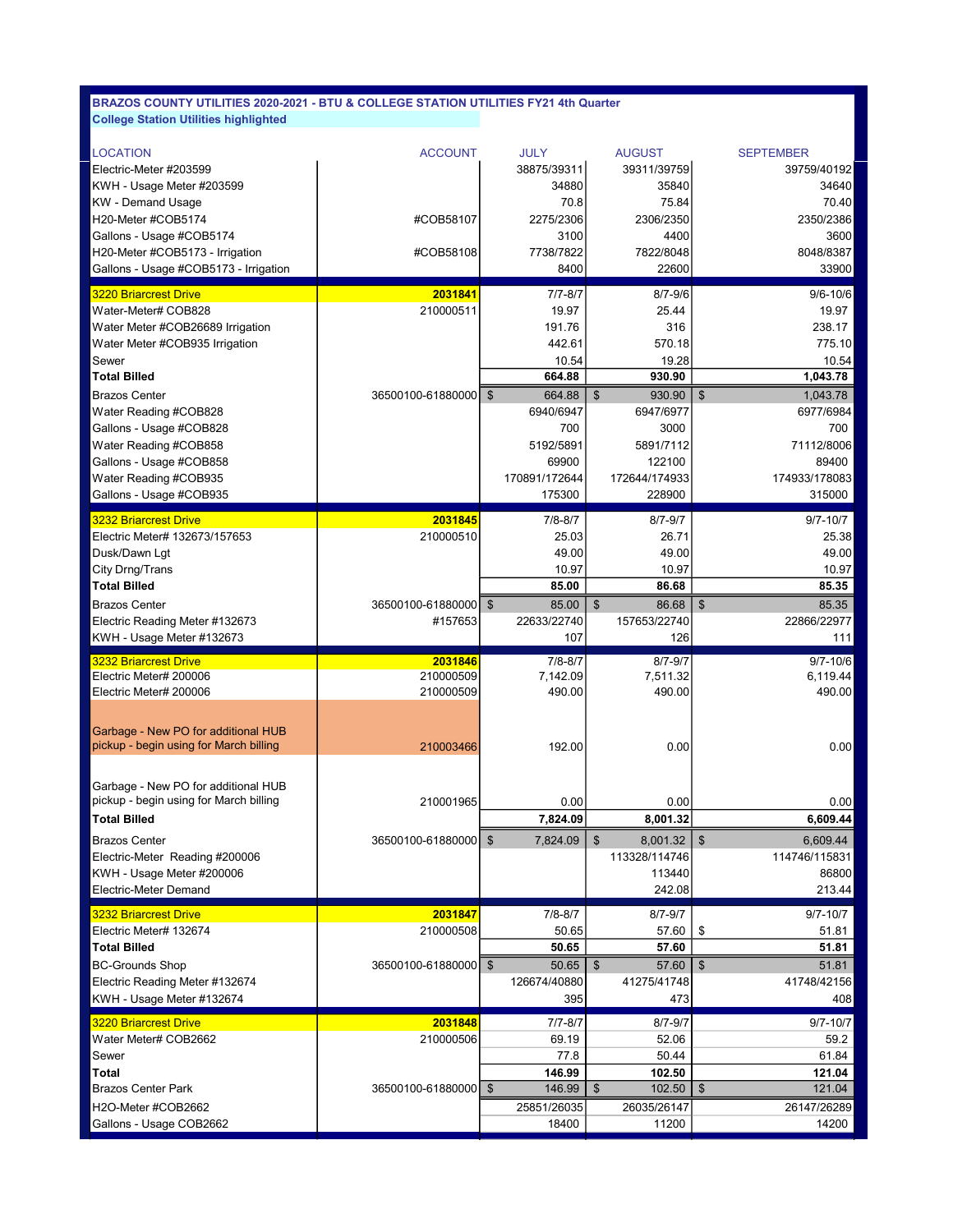| <b>LOCATION</b>                                                               | <b>ACCOUNT</b>         | <b>JULY</b>              | <b>AUGUST</b>                      | <b>SEPTEMBER</b>           |
|-------------------------------------------------------------------------------|------------------------|--------------------------|------------------------------------|----------------------------|
| Electric-Meter #203599                                                        |                        | 38875/39311              | 39311/39759                        | 39759/40192                |
| KWH - Usage Meter #203599                                                     |                        | 34880                    | 35840                              | 34640                      |
| <b>KW</b> - Demand Usage                                                      |                        | 70.8                     | 75.84                              | 70.40                      |
| H20-Meter #COB5174                                                            | #COB58107              | 2275/2306                | 2306/2350                          | 2350/2386                  |
| Gallons - Usage #COB5174                                                      |                        | 3100                     | 4400                               | 3600                       |
| H20-Meter #COB5173 - Irrigation                                               | #COB58108              | 7738/7822                | 7822/8048                          | 8048/8387                  |
| Gallons - Usage #COB5173 - Irrigation                                         |                        | 8400                     | 22600                              | 33900                      |
| <b>3220 Briarcrest Drive</b>                                                  | 2031841                | $7/7 - 8/7$              | $8/7 - 9/6$                        | $9/6 - 10/6$               |
| Water-Meter# COB828                                                           | 210000511              | 19.97                    | 25.44                              | 19.97                      |
| Water Meter #COB26689 Irrigation                                              |                        | 191.76                   | 316                                | 238.17                     |
| Water Meter #COB935 Irrigation                                                |                        | 442.61                   | 570.18                             | 775.10                     |
| Sewer                                                                         |                        | 10.54                    | 19.28                              | 10.54                      |
| <b>Total Billed</b>                                                           |                        | 664.88                   | 930.90                             | 1,043.78                   |
| <b>Brazos Center</b>                                                          | 36500100-61880000      | $\mathfrak{S}$<br>664.88 | \$<br>930.90                       | $\mathfrak{S}$<br>1,043.78 |
| Water Reading #COB828                                                         |                        | 6940/6947                | 6947/6977                          | 6977/6984                  |
| Gallons - Usage #COB828                                                       |                        | 700                      | 3000                               | 700                        |
| Water Reading #COB858                                                         |                        | 5192/5891                | 5891/7112                          | 71112/8006                 |
| Gallons - Usage #COB858                                                       |                        | 69900                    | 122100                             | 89400                      |
| Water Reading #COB935                                                         |                        | 170891/172644            | 172644/174933                      | 174933/178083              |
| Gallons - Usage #COB935                                                       |                        | 175300                   | 228900                             | 315000                     |
| <b>3232 Briarcrest Drive</b>                                                  | 2031845                | $7/8 - 8/7$              | $8/7 - 9/7$                        | $9/7 - 10/7$               |
| Electric Meter# 132673/157653                                                 | 210000510              | 25.03                    | 26.71                              | 25.38                      |
| Dusk/Dawn Lgt                                                                 |                        | 49.00                    | 49.00                              | 49.00                      |
| City Drng/Trans                                                               |                        | 10.97                    | 10.97                              | 10.97                      |
| <b>Total Billed</b>                                                           |                        | 85.00                    | 86.68                              | 85.35                      |
| <b>Brazos Center</b>                                                          | 36500100-61880000   \$ | 85.00                    | $\boldsymbol{\mathsf{S}}$<br>86.68 | $\frac{1}{2}$<br>85.35     |
| Electric Reading Meter #132673                                                | #157653                | 22633/22740              | 157653/22740                       | 22866/22977                |
| KWH - Usage Meter #132673                                                     |                        | 107                      | 126                                | 111                        |
|                                                                               |                        |                          |                                    |                            |
| <b>3232 Briarcrest Drive</b>                                                  | 2031846                | $7/8 - 8/7$              | $8/7 - 9/7$                        | $9/7 - 10/6$               |
| Electric Meter# 200006                                                        | 210000509              | 7,142.09                 | 7,511.32                           | 6,119.44                   |
| Electric Meter# 200006                                                        | 210000509              | 490.00                   | 490.00                             | 490.00                     |
|                                                                               |                        |                          |                                    |                            |
| Garbage - New PO for additional HUB                                           |                        |                          |                                    |                            |
| pickup - begin using for March billing                                        | 210003466              | 192.00                   | 0.00                               | 0.00                       |
|                                                                               |                        |                          |                                    |                            |
|                                                                               |                        |                          |                                    |                            |
| Garbage - New PO for additional HUB<br>pickup - begin using for March billing | 210001965              | 0.00                     | 0.00                               | 0.00                       |
| <b>Total Billed</b>                                                           |                        | 7,824.09                 | 8,001.32                           | 6,609.44                   |
| <b>Brazos Center</b>                                                          |                        |                          | $8,001.32$ \$<br>$\mathfrak{S}$    |                            |
| Electric-Meter Reading #200006                                                | 36500100-61880000 \$   | 7,824.09                 | 113328/114746                      | 6,609.44<br>114746/115831  |
| KWH - Usage Meter #200006                                                     |                        |                          | 113440                             | 86800                      |
| Electric-Meter Demand                                                         |                        |                          | 242.08                             | 213.44                     |
| <b>3232 Briarcrest Drive</b>                                                  | 2031847                | $7/8 - 8/7$              | 8/7-9/7                            | 9/7-10/7                   |
| Electric Meter# 132674                                                        | 210000508              | 50.65                    | 57.60                              | \$<br>51.81                |
| <b>Total Billed</b>                                                           |                        | 50.65                    | 57.60                              | 51.81                      |
| <b>BC-Grounds Shop</b>                                                        | 36500100-61880000   \$ | 50.65                    | \$<br>57.60                        | $\frac{1}{2}$<br>51.81     |
| Electric Reading Meter #132674                                                |                        | 126674/40880             | 41275/41748                        | 41748/42156                |
| KWH - Usage Meter #132674                                                     |                        | 395                      | 473                                | 408                        |
| <b>3220 Briarcrest Drive</b>                                                  | 2031848                | 7/7-8/7                  | 8/7-9/7                            | 9/7-10/7                   |
| Water Meter# COB2662                                                          | 210000506              | 69.19                    | 52.06                              | 59.2                       |
| Sewer                                                                         |                        | 77.8                     | 50.44                              | 61.84                      |
| Total                                                                         |                        | 146.99                   | 102.50                             | 121.04                     |
| <b>Brazos Center Park</b>                                                     | 36500100-61880000   \$ | 146.99                   | $\$\$<br>102.50                    | $\mathfrak{S}$<br>121.04   |
| H2O-Meter #COB2662<br>Gallons - Usage COB2662                                 |                        | 25851/26035              | 26035/26147                        | 26147/26289                |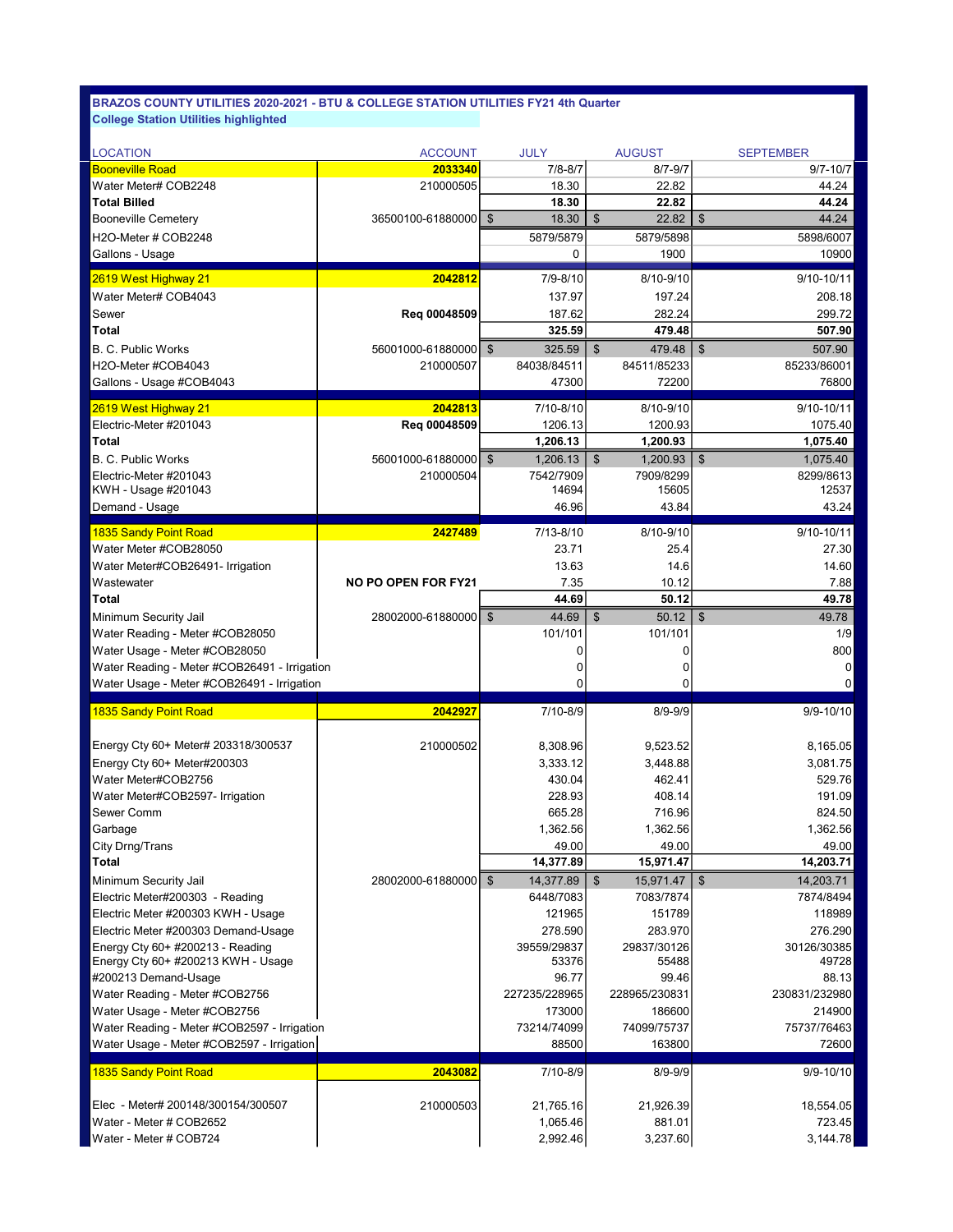| <b>LOCATION</b>                                                       | <b>ACCOUNT</b>             | <b>JULY</b>                          | <b>AUGUST</b>           | <b>SEPTEMBER</b>                      |
|-----------------------------------------------------------------------|----------------------------|--------------------------------------|-------------------------|---------------------------------------|
| <b>Booneville Road</b>                                                | 2033340                    | $7/8 - 8/7$                          | $8/7 - 9/7$             | $9/7 - 10/7$                          |
| Water Meter# COB2248                                                  | 210000505                  | 18.30                                | 22.82                   | 44.24                                 |
| <b>Total Billed</b>                                                   |                            | 18.30                                | 22.82                   | 44.24                                 |
| <b>Booneville Cemetery</b>                                            | 36500100-61880000 \$       | 18.30                                | \$<br>22.82             | 44.24<br>$\boldsymbol{\mathsf{s}}$    |
| H2O-Meter # COB2248                                                   |                            | 5879/5879                            | 5879/5898               | 5898/6007                             |
| Gallons - Usage                                                       |                            | 0                                    | 1900                    | 10900                                 |
| 2619 West Highway 21                                                  | 2042812                    | $7/9 - 8/10$                         | 8/10-9/10               | 9/10-10/11                            |
| Water Meter# COB4043                                                  |                            | 137.97                               | 197.24                  | 208.18                                |
| Sewer                                                                 | Req 00048509               | 187.62                               | 282.24                  | 299.72                                |
| <b>Total</b>                                                          |                            | 325.59                               | 479.48                  | 507.90                                |
| <b>B. C. Public Works</b>                                             | 56001000-61880000 \$       | 325.59                               | $\$\$<br>479.48         | $\mathfrak{F}$<br>507.90              |
| H2O-Meter #COB4043                                                    | 210000507                  | 84038/84511                          | 84511/85233             | 85233/86001                           |
| Gallons - Usage #COB4043                                              |                            | 47300                                | 72200                   | 76800                                 |
| 2619 West Highway 21                                                  | 2042813                    | 7/10-8/10                            | 8/10-9/10               | 9/10-10/11                            |
| Electric-Meter #201043                                                | Reg 00048509               | 1206.13                              | 1200.93                 | 1075.40                               |
| <b>Total</b>                                                          |                            | 1,206.13                             | 1,200.93                | 1,075.40                              |
| B. C. Public Works                                                    | 56001000-61880000          | \$<br>1.206.13                       | \$<br>1,200.93          | $\boldsymbol{\mathsf{S}}$<br>1,075.40 |
| Electric-Meter #201043                                                | 210000504                  | 7542/7909                            | 7909/8299               | 8299/8613                             |
| KWH - Usage #201043                                                   |                            | 14694                                | 15605                   | 12537                                 |
| Demand - Usage                                                        |                            | 46.96                                | 43.84                   | 43.24                                 |
| 1835 Sandy Point Road                                                 | 2427489                    | 7/13-8/10                            | 8/10-9/10               | 9/10-10/11                            |
| Water Meter #COB28050                                                 |                            | 23.71                                | 25.4                    | 27.30                                 |
| Water Meter#COB26491- Irrigation                                      |                            | 13.63                                | 14.6                    | 14.60                                 |
| Wastewater                                                            | <b>NO PO OPEN FOR FY21</b> | 7.35                                 | 10.12                   | 7.88                                  |
| <b>Total</b>                                                          |                            | 44.69                                | 50.12                   | 49.78                                 |
| Minimum Security Jail                                                 | 28002000-61880000   \$     | 44.69                                | $\mathfrak{L}$<br>50.12 | $\sqrt[6]{3}$<br>49.78                |
| Water Reading - Meter #COB28050                                       |                            | 101/101                              | 101/101                 | 1/9                                   |
|                                                                       |                            |                                      |                         |                                       |
|                                                                       |                            |                                      |                         |                                       |
| Water Usage - Meter #COB28050                                         |                            | $\Omega$                             | 0                       | 800                                   |
| Water Reading - Meter #COB26491 - Irrigation                          |                            | 0                                    | 0                       | 0                                     |
| Water Usage - Meter #COB26491 - Irrigation                            |                            | 0                                    | 0                       | 0                                     |
| 1835 Sandy Point Road                                                 | 2042927                    | 7/10-8/9                             | $8/9 - 9/9$             | 9/9-10/10                             |
|                                                                       |                            |                                      |                         |                                       |
| Energy Cty 60+ Meter# 203318/300537                                   | 210000502                  | 8,308.96                             | 9,523.52                | 8,165.05                              |
| Energy Cty 60+ Meter#200303                                           |                            | 3,333.12                             | 3,448.88                | 3,081.75                              |
| Water Meter#COB2756                                                   |                            | 430.04                               | 462.41                  | 529.76                                |
| Water Meter#COB2597- Irrigation                                       |                            | 228.93                               | 408.14                  | 191.09                                |
| Sewer Comm                                                            |                            | 665.28                               | 716.96                  | 824.50                                |
| Garbage                                                               |                            | 1,362.56                             | 1,362.56                | 1,362.56                              |
| City Drng/Trans<br><b>Total</b>                                       |                            | 49.00                                | 49.00                   | 49.00                                 |
|                                                                       | 28002000-61880000          | 14,377.89                            | 15,971.47               | 14,203.71                             |
| Minimum Security Jail                                                 |                            | $\sqrt[6]{\frac{1}{2}}$<br>14,377.89 | $\$\$<br>15,971.47      | $\frac{3}{2}$<br>14,203.71            |
| Electric Meter#200303 - Reading<br>Electric Meter #200303 KWH - Usage |                            | 6448/7083<br>121965                  | 7083/7874<br>151789     | 7874/8494<br>118989                   |
| Electric Meter #200303 Demand-Usage                                   |                            |                                      | 283.970                 | 276.290                               |
| Energy Cty 60+ #200213 - Reading                                      |                            | 278.590<br>39559/29837               | 29837/30126             | 30126/30385                           |
| Energy Cty 60+ #200213 KWH - Usage                                    |                            | 53376                                | 55488                   | 49728                                 |
| #200213 Demand-Usage                                                  |                            | 96.77                                | 99.46                   | 88.13                                 |
| Water Reading - Meter #COB2756                                        |                            | 227235/228965                        | 228965/230831           | 230831/232980                         |
| Water Usage - Meter #COB2756                                          |                            | 173000                               | 186600                  | 214900                                |
| Water Reading - Meter #COB2597 - Irrigation                           |                            | 73214/74099                          | 74099/75737             | 75737/76463                           |
| Water Usage - Meter #COB2597 - Irrigation                             |                            | 88500                                | 163800                  | 72600                                 |
| 1835 Sandy Point Road                                                 | 2043082                    | 7/10-8/9                             | $8/9 - 9/9$             | $9/9 - 10/10$                         |
|                                                                       |                            |                                      |                         |                                       |
| Elec - Meter# 200148/300154/300507                                    | 210000503                  | 21,765.16                            | 21,926.39               | 18,554.05                             |
| Water - Meter # COB2652                                               |                            | 1,065.46<br>2,992.46                 | 881.01<br>3,237.60      | 723.45<br>3,144.78                    |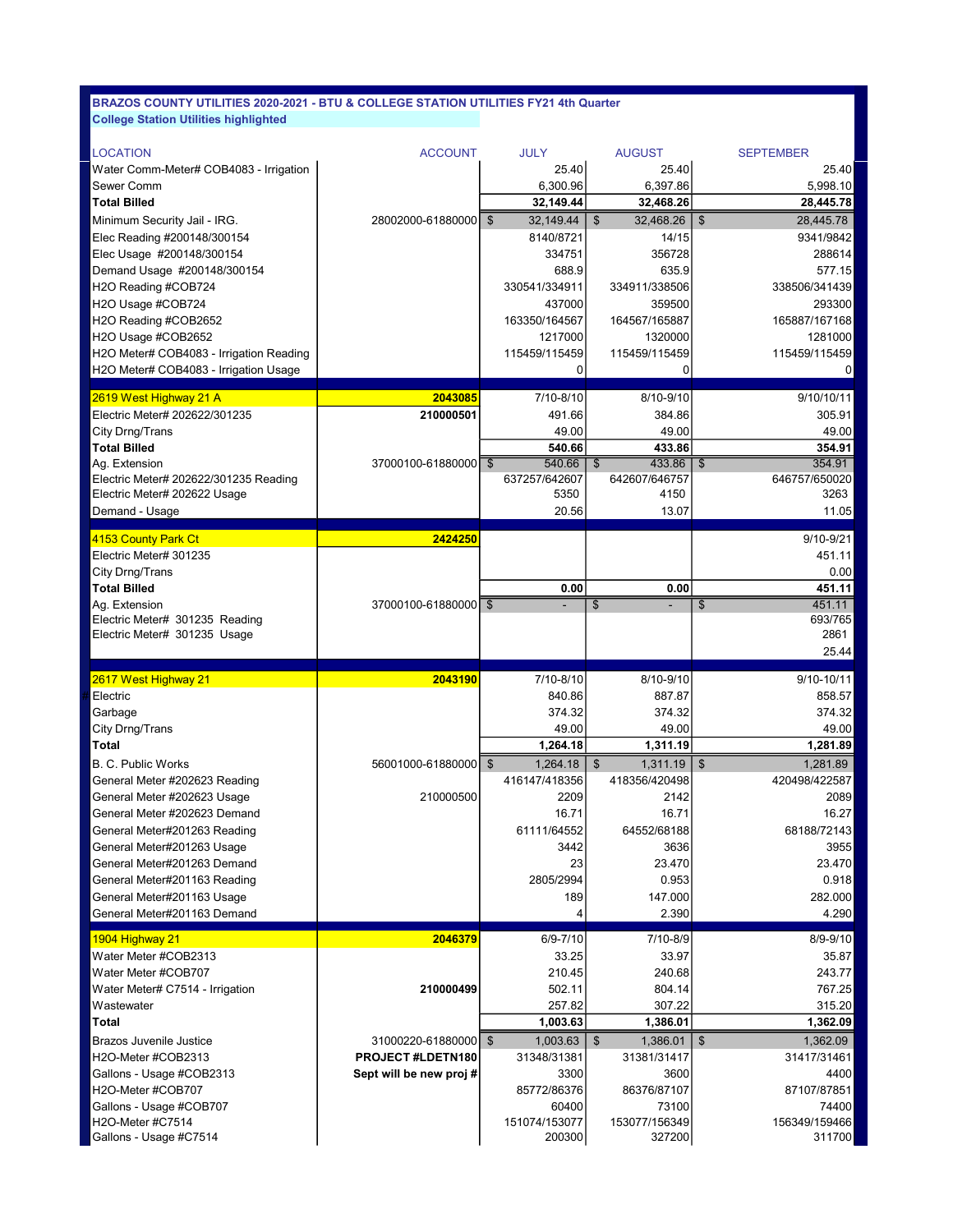| <b>LOCATION</b>                                                | <b>ACCOUNT</b>         | <b>JULY</b>                | <b>AUGUST</b>               | <b>SEPTEMBER</b>                    |
|----------------------------------------------------------------|------------------------|----------------------------|-----------------------------|-------------------------------------|
| Water Comm-Meter# COB4083 - Irrigation                         |                        | 25.40                      | 25.40                       | 25.40                               |
| Sewer Comm                                                     |                        | 6,300.96                   | 6,397.86                    | 5,998.10                            |
| <b>Total Billed</b>                                            |                        | 32,149.44                  | 32,468.26                   | 28,445.78                           |
| Minimum Security Jail - IRG.                                   | 28002000-61880000      | $\sqrt[6]{3}$<br>32,149.44 | $\mathfrak{L}$<br>32,468.26 | $\mathfrak{S}$<br>28,445.78         |
| Elec Reading #200148/300154                                    |                        | 8140/8721                  | 14/15                       | 9341/9842                           |
| Elec Usage #200148/300154                                      |                        | 334751                     | 356728                      | 288614                              |
| Demand Usage #200148/300154                                    |                        | 688.9                      | 635.9                       | 577.15                              |
| H2O Reading #COB724                                            |                        | 330541/334911              | 334911/338506               | 338506/341439                       |
| H2O Usage #COB724                                              |                        | 437000                     | 359500                      | 293300                              |
| H2O Reading #COB2652                                           |                        | 163350/164567              | 164567/165887               | 165887/167168                       |
| H2O Usage #COB2652                                             |                        | 1217000                    | 1320000                     | 1281000                             |
| H2O Meter# COB4083 - Irrigation Reading                        |                        | 115459/115459              | 115459/115459               | 115459/115459                       |
| H2O Meter# COB4083 - Irrigation Usage                          |                        | 0                          | 0                           | 0                                   |
| 2619 West Highway 21 A                                         | 2043085                | 7/10-8/10                  | 8/10-9/10                   | 9/10/10/11                          |
| Electric Meter# 202622/301235                                  | 210000501              | 491.66                     | 384.86                      | 305.91                              |
| City Drng/Trans                                                |                        | 49.00                      | 49.00                       | 49.00                               |
| <b>Total Billed</b>                                            |                        | 540.66                     | 433.86                      | 354.91                              |
| Ag. Extension                                                  | 37000100-61880000   \$ | 540.66                     | 433.86<br>$\mathfrak{F}$    | 354.91<br>$\mathfrak{F}$            |
| Electric Meter# 202622/301235 Reading                          |                        | 637257/642607              | 642607/646757               | 646757/650020                       |
| Electric Meter# 202622 Usage                                   |                        | 5350                       | 4150                        | 3263                                |
| Demand - Usage                                                 |                        | 20.56                      | 13.07                       | 11.05                               |
|                                                                |                        |                            |                             |                                     |
| 4153 County Park Ct                                            | 2424250                |                            |                             | 9/10-9/21                           |
| Electric Meter# 301235                                         |                        |                            |                             | 451.11                              |
| City Drng/Trans                                                |                        |                            |                             | 0.00                                |
| <b>Total Billed</b>                                            |                        | 0.00                       | 0.00                        | 451.11                              |
| Ag. Extension                                                  | 37000100-61880000   \$ | $\blacksquare$             | \$<br>۰                     | 451.11<br>$\boldsymbol{\mathsf{s}}$ |
| Electric Meter# 301235 Reading<br>Electric Meter# 301235 Usage |                        |                            |                             | 693/765<br>2861                     |
|                                                                |                        |                            |                             |                                     |
|                                                                |                        |                            |                             |                                     |
|                                                                |                        |                            |                             | 25.44                               |
| 2617 West Highway 21                                           | 2043190                | 7/10-8/10                  | 8/10-9/10                   | 9/10-10/11                          |
| Electric                                                       |                        | 840.86                     | 887.87                      | 858.57                              |
| Garbage                                                        |                        | 374.32                     | 374.32                      | 374.32                              |
| City Drng/Trans                                                |                        | 49.00                      | 49.00                       | 49.00                               |
| <b>Total</b>                                                   |                        | 1,264.18                   | 1,311.19                    | 1,281.89                            |
| <b>B. C. Public Works</b>                                      | 56001000-61880000   \$ | 1,264.18                   | $\mathfrak{L}$<br>1,311.19  | $\mathfrak{S}$<br>1,281.89          |
| General Meter #202623 Reading                                  |                        | 416147/418356              | 418356/420498               | 420498/422587                       |
| General Meter #202623 Usage                                    | 210000500              | 2209                       | 2142                        | 2089                                |
| General Meter #202623 Demand                                   |                        | 16.71                      | 16.71                       | 16.27                               |
| General Meter#201263 Reading                                   |                        | 61111/64552                | 64552/68188                 | 68188/72143                         |
| General Meter#201263 Usage                                     |                        | 3442                       | 3636                        | 3955                                |
| General Meter#201263 Demand                                    |                        | 23                         | 23.470                      | 23.470                              |
| General Meter#201163 Reading                                   |                        | 2805/2994                  | 0.953                       | 0.918                               |
| General Meter#201163 Usage                                     |                        | 189                        | 147.000                     | 282.000                             |
| General Meter#201163 Demand                                    |                        | 4                          | 2.390                       | 4.290                               |
| 1904 Highway 21                                                | 2046379                | $6/9 - 7/10$               | 7/10-8/9                    | $8/9 - 9/10$                        |
| Water Meter #COB2313                                           |                        | 33.25                      | 33.97                       | 35.87                               |
| Water Meter #COB707                                            |                        | 210.45                     | 240.68                      | 243.77                              |
| Water Meter# C7514 - Irrigation                                | 210000499              | 502.11                     | 804.14                      | 767.25                              |
| Wastewater                                                     |                        | 257.82                     | 307.22                      | 315.20                              |
| <b>Total</b>                                                   |                        | 1,003.63                   | 1,386.01                    | 1,362.09                            |
| <b>Brazos Juvenile Justice</b>                                 | 31000220-61880000   \$ | 1,003.63                   | $\mathfrak{S}$<br>1,386.01  | $\mathfrak{S}$<br>1,362.09          |
| H2O-Meter #COB2313                                             | PROJECT #LDETN180      | 31348/31381                | 31381/31417                 | 31417/31461                         |
| Gallons - Usage #COB2313                                       | Sept will be new proj# | 3300                       | 3600                        | 4400                                |
| H2O-Meter #COB707                                              |                        | 85772/86376                | 86376/87107                 | 87107/87851                         |
| Gallons - Usage #COB707                                        |                        | 60400                      | 73100                       | 74400                               |
| H2O-Meter #C7514                                               |                        | 151074/153077              | 153077/156349               | 156349/159466                       |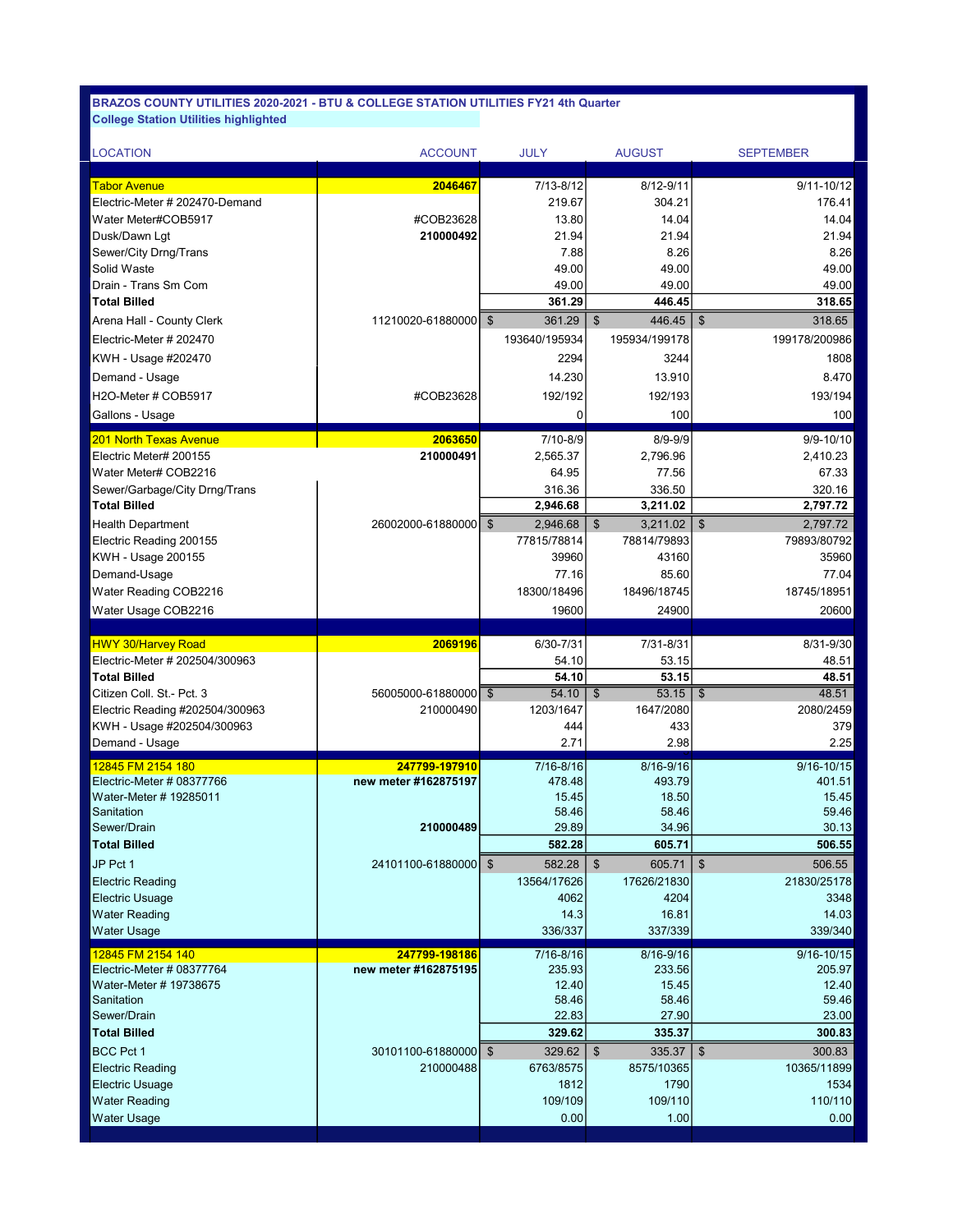| <b>LOCATION</b>                                   | <b>ACCOUNT</b>       | <b>JULY</b>                | <b>AUGUST</b>                  | <b>SEPTEMBER</b>                  |
|---------------------------------------------------|----------------------|----------------------------|--------------------------------|-----------------------------------|
| <b>Tabor Avenue</b>                               | 2046467              | $7/13 - 8/12$              | 8/12-9/11                      | $9/11 - 10/12$                    |
| Electric-Meter # 202470-Demand                    |                      | 219.67                     | 304.21                         | 176.41                            |
| Water Meter#COB5917                               | #COB23628            | 13.80                      | 14.04                          | 14.04                             |
| Dusk/Dawn Lqt                                     | 210000492            | 21.94                      | 21.94                          | 21.94                             |
| Sewer/City Drng/Trans                             |                      | 7.88                       | 8.26                           | 8.26                              |
| Solid Waste                                       |                      | 49.00                      | 49.00                          | 49.00                             |
| Drain - Trans Sm Com                              |                      | 49.00                      | 49.00                          | 49.00                             |
| <b>Total Billed</b>                               |                      | 361.29                     | 446.45                         | 318.65                            |
| Arena Hall - County Clerk                         | 11210020-61880000 \$ | 361.29                     | $\mathfrak{F}$<br>446.45       | $\sqrt[6]{3}$<br>318.65           |
| Electric-Meter # 202470                           |                      | 193640/195934              | 195934/199178                  | 199178/200986                     |
| KWH - Usage #202470                               |                      | 2294                       | 3244                           | 1808                              |
| Demand - Usage                                    |                      | 14.230                     | 13.910                         | 8.470                             |
| H2O-Meter # COB5917                               | #COB23628            | 192/192                    | 192/193                        | 193/194                           |
|                                                   |                      |                            |                                |                                   |
| Gallons - Usage                                   |                      | 0                          | 100                            | 100                               |
| <b>201 North Texas Avenue</b>                     | 2063650              | 7/10-8/9                   | $8/9 - 9/9$                    | $9/9 - 10/10$                     |
| Electric Meter# 200155                            | 210000491            | 2,565.37                   | 2,796.96                       | 2,410.23                          |
| Water Meter# COB2216                              |                      | 64.95                      | 77.56                          | 67.33                             |
| Sewer/Garbage/City Drng/Trans                     |                      | 316.36                     | 336.50                         | 320.16                            |
| <b>Total Billed</b>                               |                      | 2,946.68                   | 3,211.02                       | 2,797.72                          |
| <b>Health Department</b>                          | 26002000-61880000    | $\mathfrak{F}$<br>2,946.68 | \$<br>3,211.02                 | \$<br>2,797.72                    |
| Electric Reading 200155                           |                      | 77815/78814                | 78814/79893                    | 79893/80792                       |
| KWH - Usage 200155                                |                      | 39960                      | 43160                          | 35960                             |
| Demand-Usage                                      |                      | 77.16                      | 85.60                          | 77.04                             |
| Water Reading COB2216                             |                      | 18300/18496                | 18496/18745                    | 18745/18951                       |
|                                                   |                      | 19600                      | 24900                          | 20600                             |
| Water Usage COB2216                               |                      |                            |                                |                                   |
|                                                   |                      |                            |                                |                                   |
| <b>HWY 30/Harvey Road</b>                         | 2069196              | 6/30-7/31                  | 7/31-8/31                      | 8/31-9/30                         |
| Electric-Meter # 202504/300963                    |                      | 54.10                      | 53.15                          | 48.51                             |
| <b>Total Billed</b>                               |                      | 54.10                      | 53.15                          | 48.51                             |
| Citizen Coll. St.- Pct. 3                         | 56005000-61880000    | $\mathfrak{F}$<br>54.10    | $53.15$ \ \$<br>$\mathfrak{F}$ | 48.51                             |
| Electric Reading #202504/300963                   | 210000490            | 1203/1647                  | 1647/2080                      | 2080/2459                         |
| KWH - Usage #202504/300963                        |                      | 444                        | 433                            | 379                               |
| Demand - Usage                                    |                      | 2.71                       | 2.98                           | 2.25                              |
| 12845 FM 2154 180                                 | 247799-197910        | 7/16-8/16                  | 8/16-9/16                      | $9/16 - 10/15$                    |
| Electric-Meter # 08377766                         | new meter #162875197 | 478.48                     | 493.79                         | 401.51                            |
| Water-Meter # 19285011                            |                      | 15.45                      | 18.50                          | 15.45                             |
| Sanitation                                        |                      | 58.46                      | 58.46                          | 59.46                             |
| Sewer/Drain                                       | 210000489            | 29.89                      | 34.96                          | 30.13                             |
| <b>Total Billed</b>                               |                      | 582.28                     | 605.71                         | 506.55                            |
| JP Pct 1                                          | 24101100-61880000    | $\mathfrak{F}$<br>582.28   | $\sqrt[6]{3}$<br>605.71        | $\sqrt[6]{\frac{1}{2}}$<br>506.55 |
| <b>Electric Reading</b>                           |                      | 13564/17626                | 17626/21830                    | 21830/25178                       |
| <b>Electric Usuage</b>                            |                      | 4062                       | 4204                           | 3348                              |
| <b>Water Reading</b>                              |                      | 14.3                       | 16.81                          | 14.03                             |
| Water Usage                                       |                      | 336/337                    | 337/339                        | 339/340                           |
| 12845 FM 2154 140                                 | 247799-198186        | 7/16-8/16                  | 8/16-9/16                      | $9/16 - 10/15$                    |
| Electric-Meter # 08377764                         | new meter #162875195 | 235.93                     | 233.56                         | 205.97                            |
| Water-Meter # 19738675                            |                      | 12.40                      | 15.45                          | 12.40                             |
| Sanitation                                        |                      | 58.46                      | 58.46                          |                                   |
| Sewer/Drain                                       |                      | 22.83                      | 27.90                          | 59.46<br>23.00                    |
| <b>Total Billed</b>                               |                      | 329.62                     | 335.37                         | 300.83                            |
| <b>BCC Pct 1</b>                                  | 30101100-61880000    | $\mathfrak{F}$<br>329.62   | \$<br>335.37                   | $\frac{1}{2}$<br>300.83           |
| <b>Electric Reading</b><br><b>Electric Usuage</b> | 210000488            | 6763/8575<br>1812          | 8575/10365<br>1790             | 10365/11899<br>1534               |

Water Usage 0.00 1.00 0.00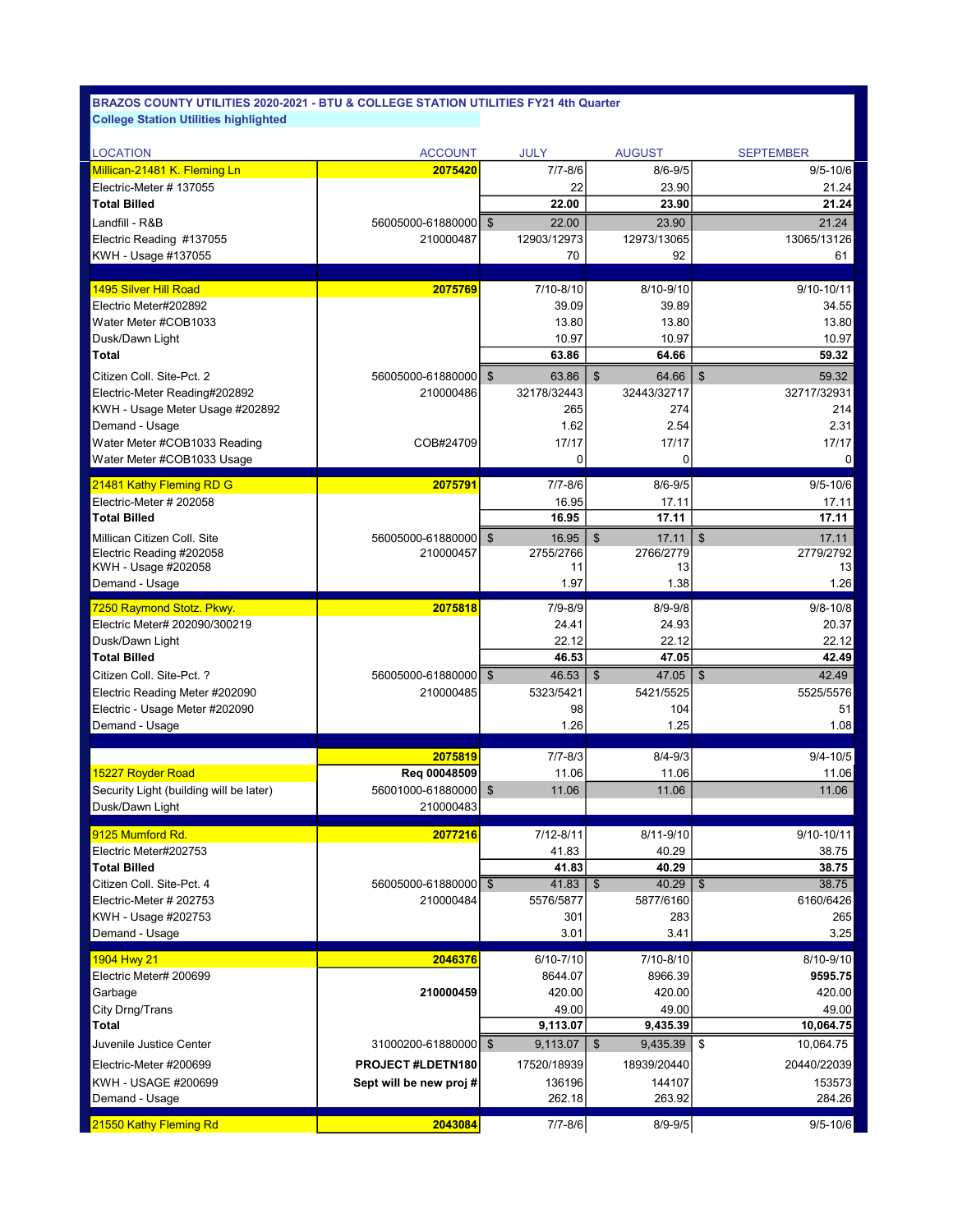| <b>LOCATION</b>                                                  | <b>ACCOUNT</b>           | JULY                     | <b>AUGUST</b>                                   | <b>SEPTEMBER</b>                    |
|------------------------------------------------------------------|--------------------------|--------------------------|-------------------------------------------------|-------------------------------------|
| Millican-21481 K. Fleming Ln                                     | 2075420                  | $7/7 - 8/6$              | $8/6 - 9/5$                                     | $9/5 - 10/6$                        |
| Electric-Meter #137055                                           |                          | 22                       | 23.90                                           | 21.24                               |
| <b>Total Billed</b>                                              |                          | 22.00                    | 23.90                                           | 21.24                               |
| Landfill - R&B                                                   | 56005000-61880000        | $\mathfrak{S}$<br>22.00  | 23.90                                           | 21.24                               |
| Electric Reading #137055                                         | 210000487                | 12903/12973              | 12973/13065                                     | 13065/13126                         |
| KWH - Usage #137055                                              |                          | 70                       | 92                                              | 61                                  |
| 1495 Silver Hill Road                                            | 2075769                  | 7/10-8/10                | 8/10-9/10                                       | 9/10-10/11                          |
| Electric Meter#202892                                            |                          | 39.09                    | 39.89                                           | 34.55                               |
| Water Meter #COB1033                                             |                          | 13.80                    | 13.80                                           | 13.80                               |
| Dusk/Dawn Light                                                  |                          | 10.97                    | 10.97                                           | 10.97                               |
| Total                                                            |                          | 63.86                    | 64.66                                           | 59.32                               |
| Citizen Coll. Site-Pct. 2                                        | 56005000-61880000        | $\mathfrak{S}$<br>63.86  | \$<br>64.66                                     | \$<br>59.32                         |
| Electric-Meter Reading#202892                                    | 210000486                | 32178/32443              | 32443/32717                                     | 32717/32931                         |
| KWH - Usage Meter Usage #202892                                  |                          | 265                      | 274                                             | 214                                 |
| Demand - Usage                                                   |                          | 1.62                     | 2.54                                            | 2.31                                |
| Water Meter #COB1033 Reading                                     | COB#24709                | 17/17                    | 17/17                                           | 17/17                               |
| Water Meter #COB1033 Usage                                       |                          | 0                        | 0                                               | 0                                   |
| 21481 Kathy Fleming RD G                                         | 2075791                  | $7/7 - 8/6$              | $8/6 - 9/5$                                     | $9/5 - 10/6$                        |
| Electric-Meter # 202058                                          |                          | 16.95                    | 17.11                                           | 17.11                               |
| <b>Total Billed</b>                                              |                          | 16.95                    | 17.11                                           | 17.11                               |
| Millican Citizen Coll. Site                                      | 56005000-61880000        | \$<br>16.95              | $\mathfrak{S}$<br>17.11                         | \$<br>17.11                         |
| Electric Reading #202058                                         | 210000457                | 2755/2766                | 2766/2779                                       | 2779/2792                           |
| KWH - Usage #202058                                              |                          | 11                       | 13                                              | 13                                  |
| Demand - Usage                                                   |                          | 1.97                     | 1.38                                            | 1.26                                |
| 7250 Raymond Stotz. Pkwy.                                        | 2075818                  | 7/9-8/9                  | $8/9 - 9/8$                                     | $9/8 - 10/8$                        |
| Electric Meter# 202090/300219                                    |                          | 24.41                    | 24.93                                           | 20.37                               |
| Dusk/Dawn Light                                                  |                          | 22.12                    | 22.12                                           | 22.12                               |
| <b>Total Billed</b>                                              |                          | 46.53                    | 47.05                                           | 42.49                               |
| Citizen Coll. Site-Pct. ?                                        | 56005000-61880000   \$   | 46.53<br>5323/5421       | 47.05<br>$\boldsymbol{\mathsf{S}}$<br>5421/5525 | 42.49<br>$\sqrt[6]{3}$<br>5525/5576 |
| Electric Reading Meter #202090<br>Electric - Usage Meter #202090 | 210000485                | 98                       | 104                                             | 51                                  |
| Demand - Usage                                                   |                          | 1.26                     | 1.25                                            | 1.08                                |
|                                                                  |                          |                          |                                                 |                                     |
|                                                                  | 2075819                  | $7/7 - 8/3$              | $8/4 - 9/3$                                     | $9/4 - 10/5$                        |
| 15227 Royder Road                                                | Req 00048509             | 11.06                    | 11.06                                           | 11.06                               |
| Security Light (building will be later)                          | 56001000-61880000        | \$<br>11.06              | 11.06                                           | 11.06                               |
| Dusk/Dawn Light                                                  | 210000483                |                          |                                                 |                                     |
| 9125 Mumford Rd.                                                 | 2077216                  | 7/12-8/11                | 8/11-9/10                                       | $9/10 - 10/11$                      |
| Electric Meter#202753                                            |                          | 41.83                    | 40.29                                           | 38.75                               |
| <b>Total Billed</b>                                              |                          | 41.83                    | 40.29                                           | 38.75                               |
| Citizen Coll. Site-Pct. 4                                        | 56005000-61880000        | $\overline{\$}$<br>41.83 | 40.29<br>$\mathfrak{S}$                         | 38.75<br>\$                         |
| Electric-Meter # 202753                                          | 210000484                | 5576/5877                | 5877/6160                                       | 6160/6426                           |
| KWH - Usage #202753                                              |                          | 301<br>3.01              | 283<br>3.41                                     | 265                                 |
| Demand - Usage                                                   |                          |                          |                                                 | 3.25                                |
| 1904 Hwy 21                                                      | 2046376                  | 6/10-7/10                | 7/10-8/10                                       | 8/10-9/10                           |
| Electric Meter# 200699                                           |                          | 8644.07                  | 8966.39                                         | 9595.75                             |
| Garbage                                                          | 210000459                | 420.00                   | 420.00                                          | 420.00                              |
| City Drng/Trans<br>Total                                         |                          | 49.00<br>9,113.07        | 49.00<br>9,435.39                               | 49.00<br>10,064.75                  |
| Juvenile Justice Center                                          | 31000200-61880000   \$   | 9,113.07                 | \$<br>9,435.39                                  | 10,064.75<br>\$                     |
|                                                                  |                          |                          |                                                 |                                     |
| Electric-Meter #200699                                           | <b>PROJECT #LDETN180</b> | 17520/18939              | 18939/20440                                     | 20440/22039                         |
| KWH - USAGE #200699<br>Demand - Usage                            | Sept will be new proj#   | 136196<br>262.18         | 144107<br>263.92                                | 153573<br>284.26                    |
|                                                                  |                          |                          |                                                 |                                     |
| 21550 Kathy Fleming Rd                                           | 2043084                  | $7/7 - 8/6$              | $8/9 - 9/5$                                     | $9/5 - 10/6$                        |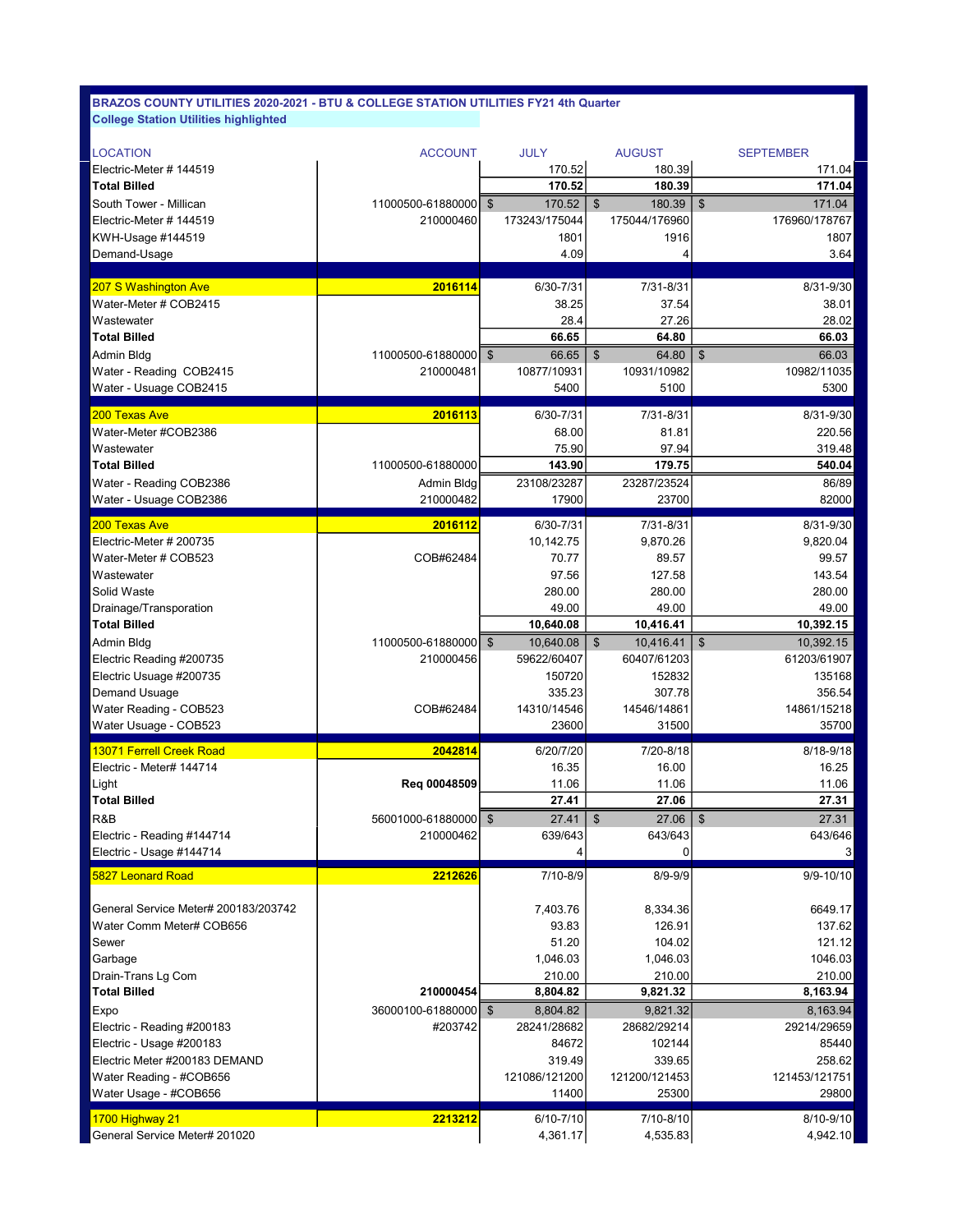| LOCATION                             | <b>ACCOUNT</b>         | <b>JULY</b>              | <b>AUGUST</b>                      | <b>SEPTEMBER</b>                    |
|--------------------------------------|------------------------|--------------------------|------------------------------------|-------------------------------------|
| Electric-Meter # 144519              |                        | 170.52                   | 180.39                             | 171.04                              |
| <b>Total Billed</b>                  |                        | 170.52                   | 180.39                             | 171.04                              |
| South Tower - Millican               | 11000500-61880000      | $\mathfrak{F}$<br>170.52 | $\mathfrak{S}$<br>180.39           | $\boldsymbol{\mathsf{S}}$<br>171.04 |
| Electric-Meter # 144519              | 210000460              | 173243/175044            | 175044/176960                      | 176960/178767                       |
| KWH-Usage #144519                    |                        | 1801                     | 1916                               | 1807                                |
| Demand-Usage                         |                        | 4.09                     | 4                                  | 3.64                                |
|                                      |                        |                          |                                    |                                     |
| 207 S Washington Ave                 | 2016114                | 6/30-7/31                | 7/31-8/31                          | 8/31-9/30                           |
| Water-Meter # COB2415                |                        | 38.25                    | 37.54                              | 38.01                               |
| Wastewater                           |                        | 28.4                     | 27.26                              | 28.02                               |
| <b>Total Billed</b>                  |                        | 66.65                    | 64.80                              | 66.03                               |
| Admin Bldg                           | 11000500-61880000      | $\mathfrak{S}$<br>66.65  | \$<br>64.80                        | $\boldsymbol{\mathsf{S}}$<br>66.03  |
| Water - Reading COB2415              | 210000481              | 10877/10931              | 10931/10982                        | 10982/11035                         |
| Water - Usuage COB2415               |                        | 5400                     | 5100                               | 5300                                |
|                                      |                        |                          |                                    |                                     |
| 200 Texas Ave                        | 2016113                | 6/30-7/31                | 7/31-8/31                          | 8/31-9/30                           |
| Water-Meter #COB2386                 |                        | 68.00                    | 81.81                              | 220.56                              |
| Wastewater                           |                        | 75.90                    | 97.94                              | 319.48                              |
| <b>Total Billed</b>                  | 11000500-61880000      | 143.90                   | 179.75                             | 540.04                              |
| Water - Reading COB2386              | Admin Bldg             | 23108/23287              | 23287/23524                        | 86/89                               |
| Water - Usuage COB2386               | 210000482              | 17900                    | 23700                              | 82000                               |
| 200 Texas Ave                        | 2016112                | 6/30-7/31                | 7/31-8/31                          | 8/31-9/30                           |
| Electric-Meter # 200735              |                        | 10,142.75                | 9,870.26                           | 9,820.04                            |
| Water-Meter # COB523                 | COB#62484              | 70.77                    | 89.57                              | 99.57                               |
| Wastewater                           |                        | 97.56                    | 127.58                             | 143.54                              |
| Solid Waste                          |                        | 280.00                   | 280.00                             | 280.00                              |
| Drainage/Transporation               |                        | 49.00                    | 49.00                              | 49.00                               |
| <b>Total Billed</b>                  |                        | 10,640.08                | 10,416.41                          | 10,392.15                           |
| Admin Bldg                           | 11000500-61880000   \$ | 10,640.08                | \$<br>10,416.41                    | \$<br>10,392.15                     |
| Electric Reading #200735             | 210000456              | 59622/60407              | 60407/61203                        | 61203/61907                         |
| Electric Usuage #200735              |                        | 150720                   | 152832                             | 135168                              |
| Demand Usuage                        |                        | 335.23                   | 307.78                             | 356.54                              |
| Water Reading - COB523               | COB#62484              | 14310/14546              | 14546/14861                        | 14861/15218                         |
| Water Usuage - COB523                |                        | 23600                    | 31500                              | 35700                               |
|                                      |                        |                          |                                    |                                     |
| <b>13071 Ferrell Creek Road</b>      | 2042814                | 6/20/7/20                | 7/20-8/18                          | 8/18-9/18                           |
| Electric - Meter# 144714             |                        | 16.35                    | 16.00                              | 16.25                               |
| Light                                | Reg 00048509           | 11.06                    | 11.06                              | 11.06                               |
| <b>Total Billed</b>                  |                        | 27.41                    | 27.06                              | 27.31                               |
| R&B                                  | 56001000-61880000   \$ | 27.41                    | $\boldsymbol{\mathsf{S}}$<br>27.06 | $\frac{1}{2}$<br>27.31              |
| Electric - Reading #144714           | 210000462              | 639/643                  | 643/643                            | 643/646                             |
| Electric - Usage #144714             |                        | 4                        | $\overline{0}$                     | 3 <sup>1</sup>                      |
| 5827 Leonard Road                    | 2212626                | 7/10-8/9                 | $8/9 - 9/9$                        | 9/9-10/10                           |
|                                      |                        |                          |                                    |                                     |
| General Service Meter# 200183/203742 |                        | 7,403.76                 | 8,334.36                           | 6649.17                             |
| Water Comm Meter# COB656             |                        | 93.83                    | 126.91                             | 137.62                              |
| Sewer                                |                        | 51.20                    | 104.02                             | 121.12                              |
| Garbage                              |                        | 1,046.03                 | 1,046.03                           | 1046.03                             |
| Drain-Trans Lg Com                   |                        | 210.00                   | 210.00                             | 210.00                              |
| <b>Total Billed</b>                  | 210000454              | 8,804.82                 | 9,821.32                           | 8,163.94                            |
| Expo                                 | 36000100-61880000   \$ | 8,804.82                 | 9,821.32                           | 8,163.94                            |
| Electric - Reading #200183           | #203742                | 28241/28682              | 28682/29214                        | 29214/29659                         |
| Electric - Usage #200183             |                        | 84672                    | 102144                             | 85440                               |
| Electric Meter #200183 DEMAND        |                        | 319.49                   | 339.65                             | 258.62                              |
| Water Reading - #COB656              |                        | 121086/121200            | 121200/121453                      | 121453/121751                       |
| Water Usage - #COB656                |                        | 11400                    | 25300                              | 29800                               |
|                                      |                        |                          |                                    |                                     |
| 1700 Highway 21                      | 2213212                | 6/10-7/10                | 7/10-8/10                          | 8/10-9/10                           |
| General Service Meter# 201020        |                        | 4,361.17                 | 4,535.83                           | 4,942.10                            |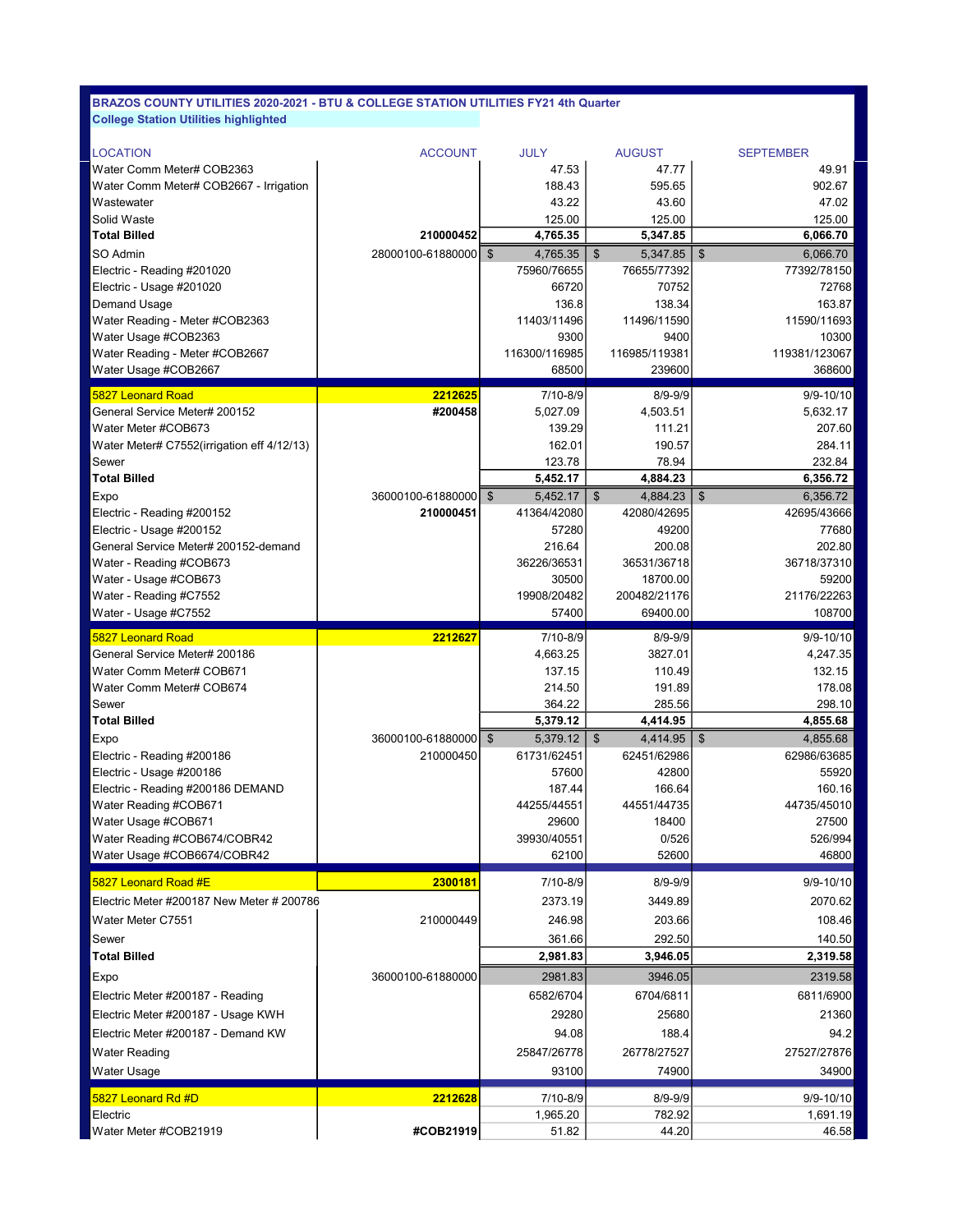| <b>LOCATION</b>                            | <b>ACCOUNT</b>    | <b>JULY</b>                           | <b>AUGUST</b>         | <b>SEPTEMBER</b>                      |
|--------------------------------------------|-------------------|---------------------------------------|-----------------------|---------------------------------------|
| Water Comm Meter# COB2363                  |                   | 47.53                                 | 47.77                 | 49.91                                 |
| Water Comm Meter# COB2667 - Irrigation     |                   | 188.43                                | 595.65                | 902.67                                |
| Wastewater                                 |                   | 43.22                                 | 43.60                 | 47.02                                 |
| Solid Waste                                |                   | 125.00                                | 125.00                | 125.00                                |
| <b>Total Billed</b>                        | 210000452         | 4,765.35                              | 5,347.85              | 6,066.70                              |
| SO Admin                                   | 28000100-61880000 | $\boldsymbol{\mathsf{S}}$<br>4,765.35 | \$<br>5,347.85        | $\boldsymbol{\mathsf{s}}$<br>6,066.70 |
| Electric - Reading #201020                 |                   | 75960/76655                           | 76655/77392           | 77392/78150                           |
| Electric - Usage #201020                   |                   | 66720                                 | 70752                 | 72768                                 |
| Demand Usage                               |                   | 136.8                                 | 138.34                | 163.87                                |
| Water Reading - Meter #COB2363             |                   | 11403/11496                           | 11496/11590           | 11590/11693                           |
| Water Usage #COB2363                       |                   | 9300                                  | 9400                  | 10300                                 |
| Water Reading - Meter #COB2667             |                   | 116300/116985                         | 116985/119381         | 119381/123067                         |
| Water Usage #COB2667                       |                   | 68500                                 | 239600                | 368600                                |
| <b>5827 Leonard Road</b>                   | 2212625           | 7/10-8/9                              | $8/9 - 9/9$           | $9/9 - 10/10$                         |
| General Service Meter# 200152              | #200458           | 5,027.09                              | 4,503.51              | 5,632.17                              |
| Water Meter #COB673                        |                   | 139.29                                | 111.21                | 207.60                                |
| Water Meter# C7552(irrigation eff 4/12/13) |                   | 162.01                                | 190.57                | 284.11                                |
| Sewer                                      |                   | 123.78                                | 78.94                 | 232.84                                |
| <b>Total Billed</b>                        |                   | 5,452.17                              | 4,884.23              | 6,356.72                              |
| Expo                                       | 36000100-61880000 | $\boldsymbol{\mathsf{S}}$<br>5,452.17 | $\$\$<br>4,884.23     | $\boldsymbol{\mathsf{S}}$<br>6,356.72 |
| Electric - Reading #200152                 | 210000451         | 41364/42080                           | 42080/42695           | 42695/43666                           |
| Electric - Usage #200152                   |                   | 57280                                 | 49200                 | 77680                                 |
| General Service Meter# 200152-demand       |                   | 216.64                                | 200.08                | 202.80                                |
| Water - Reading #COB673                    |                   | 36226/36531                           | 36531/36718           | 36718/37310                           |
| Water - Usage #COB673                      |                   | 30500                                 | 18700.00              | 59200                                 |
| Water - Reading #C7552                     |                   | 19908/20482                           | 200482/21176          | 21176/22263                           |
| Water - Usage #C7552                       |                   | 57400                                 | 69400.00              | 108700                                |
| <b>5827 Leonard Road</b>                   | 2212627           | 7/10-8/9                              | $8/9 - 9/9$           | 9/9-10/10                             |
| General Service Meter# 200186              |                   | 4,663.25                              | 3827.01               | 4,247.35                              |
| Water Comm Meter# COB671                   |                   | 137.15                                | 110.49                | 132.15                                |
| Water Comm Meter# COB674                   |                   | 214.50                                | 191.89                | 178.08                                |
| Sewer                                      |                   | 364.22                                | 285.56                | 298.10                                |
| <b>Total Billed</b>                        |                   | 5,379.12                              | 4,414.95              | 4,855.68                              |
| Expo                                       | 36000100-61880000 | $\boldsymbol{\mathsf{S}}$<br>5,379.12 | $\$\$<br>4,414.95     | $\boldsymbol{\mathsf{S}}$<br>4,855.68 |
| Electric - Reading #200186                 | 210000450         | 61731/62451                           | 62451/62986           | 62986/63685                           |
| Electric - Usage #200186                   |                   | 57600                                 | 42800                 | 55920                                 |
| Electric - Reading #200186 DEMAND          |                   | 187.44                                | 166.64                | 160.16                                |
| Water Reading #COB671                      |                   | 44255/44551                           | 44551/44735           | 44735/45010                           |
| Water Usage #COB671                        |                   | 29600                                 | 18400                 | 27500                                 |
| Water Reading #COB674/COBR42               |                   | 39930/40551                           | 0/526                 | 526/994                               |
| Water Usage #COB6674/COBR42                |                   | 62100                                 | 52600                 | 46800                                 |
| 5827 Leonard Road #E                       | 2300181           | 7/10-8/9                              | $8/9 - 9/9$           | 9/9-10/10                             |
| Electric Meter #200187 New Meter # 200786  |                   | 2373.19                               | 3449.89               | 2070.62                               |
| Water Meter C7551                          | 210000449         | 246.98                                | 203.66                | 108.46                                |
| Sewer                                      |                   | 361.66                                | 292.50                | 140.50                                |
| <b>Total Billed</b>                        |                   | 2,981.83                              | 3,946.05              | 2,319.58                              |
|                                            |                   |                                       |                       |                                       |
| Expo                                       | 36000100-61880000 | 2981.83                               | 3946.05               | 2319.58                               |
| Electric Meter #200187 - Reading           |                   | 6582/6704                             | 6704/6811             | 6811/6900                             |
| Electric Meter #200187 - Usage KWH         |                   | 29280                                 | 25680                 | 21360                                 |
| Electric Meter #200187 - Demand KW         |                   | 94.08                                 | 188.4                 | 94.2                                  |
| <b>Water Reading</b>                       |                   | 25847/26778                           | 26778/27527           | 27527/27876                           |
| Water Usage                                |                   | 93100                                 | 74900                 | 34900                                 |
|                                            |                   |                                       |                       |                                       |
| 5827 Leonard Rd #D<br>Electric             | 2212628           | 7/10-8/9<br>1,965.20                  | $8/9 - 9/9$<br>782.92 | 9/9-10/10<br>1,691.19                 |
| Water Meter #COB21919                      | #COB21919         | 51.82                                 | 44.20                 | 46.58                                 |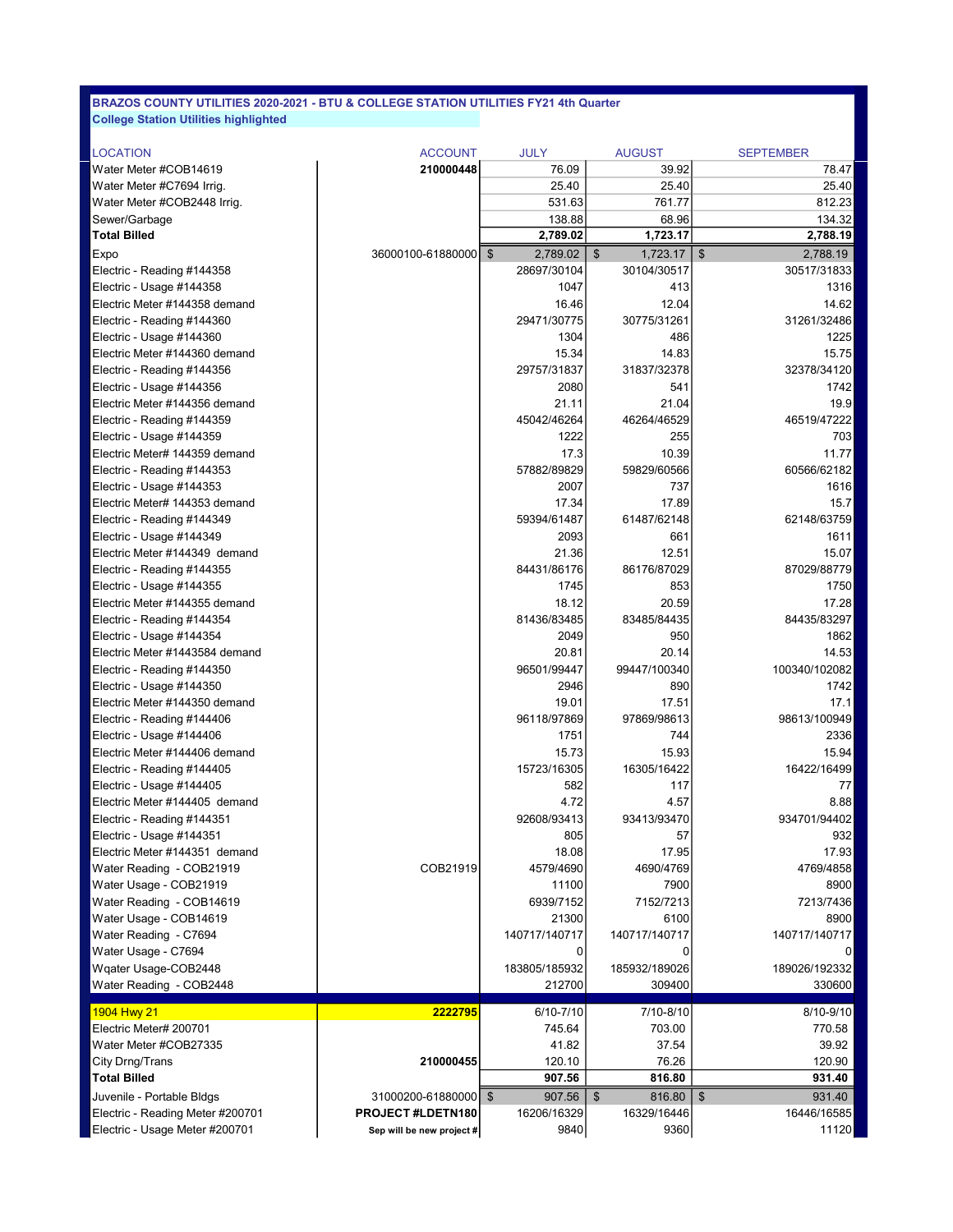| <b>LOCATION</b>                  | <b>ACCOUNT</b>            | <b>JULY</b>                | <b>AUGUST</b>  | <b>SEPTEMBER</b>                      |
|----------------------------------|---------------------------|----------------------------|----------------|---------------------------------------|
| Water Meter #COB14619            | 210000448                 | 76.09                      | 39.92          | 78.47                                 |
| Water Meter #C7694 Irrig.        |                           | 25.40                      | 25.40          | 25.40                                 |
| Water Meter #COB2448 Irrig.      |                           | 531.63                     | 761.77         | 812.23                                |
| Sewer/Garbage                    |                           | 138.88                     | 68.96          | 134.32                                |
| <b>Total Billed</b>              |                           | 2,789.02                   | 1,723.17       | 2,788.19                              |
| Expo                             | 36000100-61880000         | $\mathfrak{F}$<br>2,789.02 | \$<br>1,723.17 | $\boldsymbol{\mathsf{S}}$<br>2,788.19 |
| Electric - Reading #144358       |                           | 28697/30104                | 30104/30517    | 30517/31833                           |
| Electric - Usage #144358         |                           | 1047                       | 413            | 1316                                  |
| Electric Meter #144358 demand    |                           | 16.46                      | 12.04          | 14.62                                 |
| Electric - Reading #144360       |                           | 29471/30775                | 30775/31261    | 31261/32486                           |
| Electric - Usage #144360         |                           | 1304                       | 486            | 1225                                  |
| Electric Meter #144360 demand    |                           | 15.34                      | 14.83          | 15.75                                 |
| Electric - Reading #144356       |                           | 29757/31837                | 31837/32378    | 32378/34120                           |
| Electric - Usage #144356         |                           | 2080                       | 541            | 1742                                  |
| Electric Meter #144356 demand    |                           | 21.11                      | 21.04          | 19.9                                  |
| Electric - Reading #144359       |                           | 45042/46264                | 46264/46529    | 46519/47222                           |
| Electric - Usage #144359         |                           | 1222                       | 255            | 703                                   |
| Electric Meter# 144359 demand    |                           | 17.3                       | 10.39          | 11.77                                 |
| Electric - Reading #144353       |                           | 57882/89829                | 59829/60566    | 60566/62182                           |
| Electric - Usage #144353         |                           | 2007                       | 737            | 1616                                  |
| Electric Meter# 144353 demand    |                           | 17.34                      | 17.89          | 15.7                                  |
| Electric - Reading #144349       |                           | 59394/61487                | 61487/62148    | 62148/63759                           |
| Electric - Usage #144349         |                           | 2093                       | 661            | 1611                                  |
| Electric Meter #144349 demand    |                           | 21.36                      | 12.51          | 15.07                                 |
| Electric - Reading #144355       |                           | 84431/86176                | 86176/87029    | 87029/88779                           |
| Electric - Usage #144355         |                           | 1745                       | 853            | 1750                                  |
| Electric Meter #144355 demand    |                           | 18.12                      | 20.59          | 17.28                                 |
| Electric - Reading #144354       |                           | 81436/83485                | 83485/84435    | 84435/83297                           |
| Electric - Usage #144354         |                           | 2049                       | 950            | 1862                                  |
| Electric Meter #1443584 demand   |                           | 20.81                      | 20.14          | 14.53                                 |
| Electric - Reading #144350       |                           | 96501/99447                | 99447/100340   | 100340/102082                         |
| Electric - Usage #144350         |                           | 2946                       | 890            | 1742                                  |
| Electric Meter #144350 demand    |                           | 19.01                      | 17.51          | 17.1                                  |
| Electric - Reading #144406       |                           | 96118/97869                | 97869/98613    | 98613/100949                          |
| Electric - Usage #144406         |                           | 1751                       | 744            | 2336                                  |
| Electric Meter #144406 demand    |                           | 15.73                      | 15.93          | 15.94                                 |
| Electric - Reading #144405       |                           | 15723/16305                | 16305/16422    | 16422/16499                           |
| Electric - Usage #144405         |                           | 582                        | 117            | 77                                    |
| Electric Meter #144405 demand    |                           | 4.72                       | 4.57           | 8.88                                  |
| Electric - Reading #144351       |                           | 92608/93413                | 93413/93470    | 934701/94402                          |
| Electric - Usage #144351         |                           | 805                        | 57             | 932                                   |
| Electric Meter #144351 demand    |                           | 18.08                      | 17.95          | 17.93                                 |
| Water Reading - COB21919         | COB21919                  | 4579/4690                  | 4690/4769      | 4769/4858                             |
| Water Usage - COB21919           |                           | 11100                      | 7900           | 8900                                  |
| Water Reading - COB14619         |                           | 6939/7152                  | 7152/7213      | 7213/7436                             |
| Water Usage - COB14619           |                           | 21300                      | 6100           | 8900                                  |
| Water Reading - C7694            |                           | 140717/140717              | 140717/140717  | 140717/140717                         |
| Water Usage - C7694              |                           | 0                          |                | 0                                     |
| Wqater Usage-COB2448             |                           | 183805/185932              | 185932/189026  | 189026/192332                         |
| Water Reading - COB2448          |                           | 212700                     | 309400         | 330600                                |
|                                  |                           |                            |                |                                       |
| 1904 Hwy 21                      | 2222795                   | 6/10-7/10                  | 7/10-8/10      | 8/10-9/10                             |
| Electric Meter# 200701           |                           | 745.64                     | 703.00         | 770.58                                |
| Water Meter #COB27335            |                           | 41.82                      | 37.54          | 39.92                                 |
| City Drng/Trans                  | 210000455                 | 120.10                     | 76.26          | 120.90                                |
| <b>Total Billed</b>              |                           | 907.56                     | 816.80         | 931.40                                |
| Juvenile - Portable Bldgs        | 31000200-61880000         | \$<br>907.56               | \$<br>816.80   | $\boldsymbol{\mathsf{S}}$<br>931.40   |
| Electric - Reading Meter #200701 | PROJECT #LDETN180         | 16206/16329                | 16329/16446    | 16446/16585                           |
| Electric - Usage Meter #200701   | Sep will be new project # | 9840                       | 9360           | 11120                                 |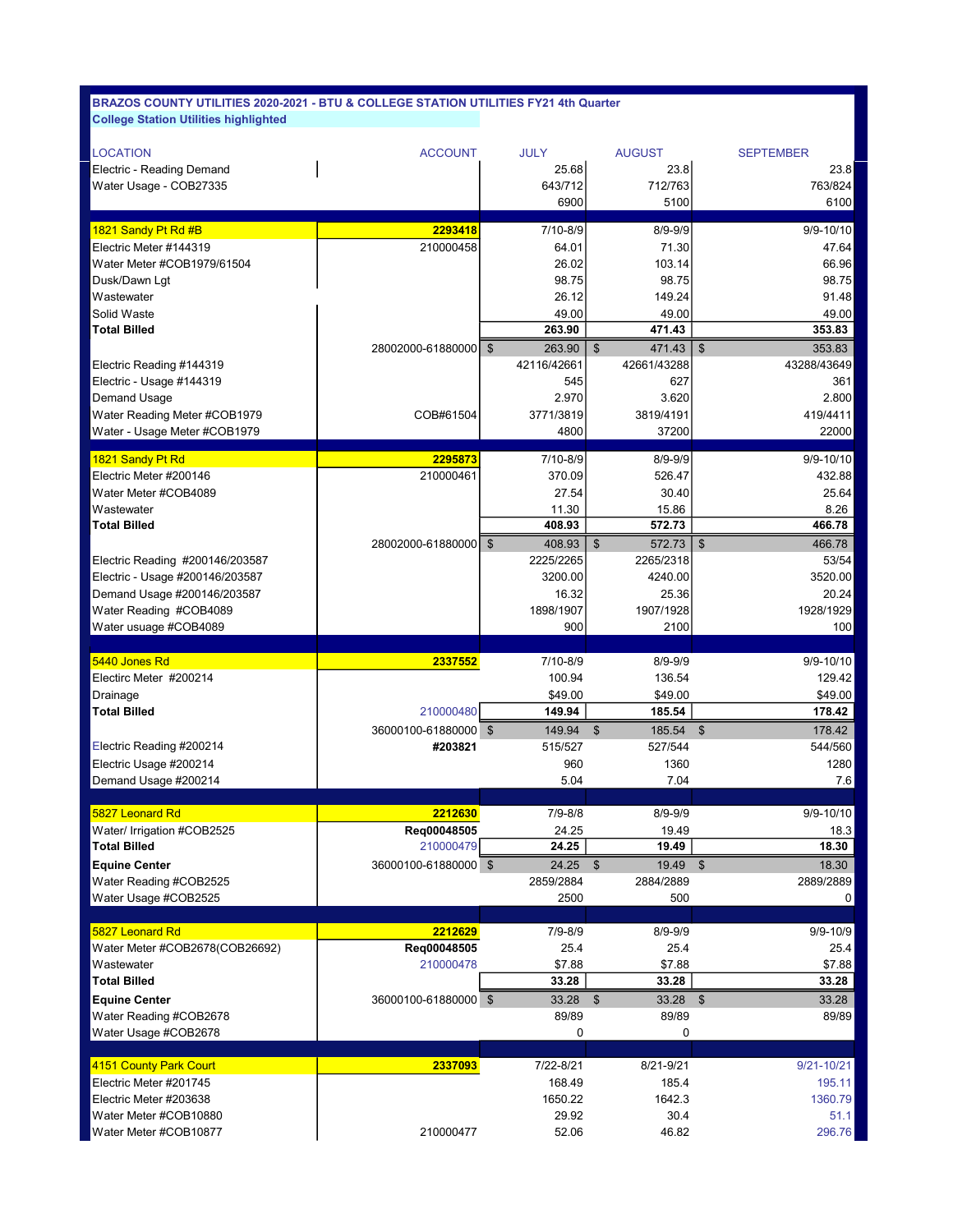| <b>LOCATION</b>                 | <b>ACCOUNT</b>         | <b>JULY</b> | <b>AUGUST</b>               | <b>SEPTEMBER</b>                    |
|---------------------------------|------------------------|-------------|-----------------------------|-------------------------------------|
| Electric - Reading Demand       |                        | 25.68       | 23.8                        | 23.8                                |
| Water Usage - COB27335          |                        | 643/712     | 712/763                     | 763/824                             |
|                                 |                        | 6900        | 5100                        | 6100                                |
| 1821 Sandy Pt Rd #B             | 2293418                | 7/10-8/9    | $8/9 - 9/9$                 | 9/9-10/10                           |
| Electric Meter #144319          | 210000458              | 64.01       | 71.30                       | 47.64                               |
| Water Meter #COB1979/61504      |                        | 26.02       | 103.14                      | 66.96                               |
| Dusk/Dawn Lgt                   |                        | 98.75       | 98.75                       | 98.75                               |
| Wastewater                      |                        | 26.12       | 149.24                      | 91.48                               |
| Solid Waste                     |                        | 49.00       | 49.00                       | 49.00                               |
| <b>Total Billed</b>             |                        | 263.90      | 471.43                      | 353.83                              |
|                                 | 28002000-61880000   \$ | 263.90      | \$<br>471.43                | $\sqrt[6]{\frac{1}{2}}$<br>353.83   |
| Electric Reading #144319        |                        | 42116/42661 | 42661/43288                 | 43288/43649                         |
| Electric - Usage #144319        |                        | 545         | 627                         | 361                                 |
| Demand Usage                    |                        | 2.970       | 3.620                       | 2.800                               |
| Water Reading Meter #COB1979    | COB#61504              | 3771/3819   | 3819/4191                   | 419/4411                            |
| Water - Usage Meter #COB1979    |                        | 4800        | 37200                       | 22000                               |
| 1821 Sandy Pt Rd                | 2295873                | 7/10-8/9    | $8/9 - 9/9$                 | $9/9 - 10/10$                       |
| Electric Meter #200146          | 210000461              | 370.09      | 526.47                      | 432.88                              |
| Water Meter #COB4089            |                        | 27.54       | 30.40                       | 25.64                               |
| Wastewater                      |                        | 11.30       | 15.86                       | 8.26                                |
| <b>Total Billed</b>             |                        | 408.93      | 572.73                      | 466.78                              |
|                                 | 28002000-61880000   \$ | 408.93      | $\mathfrak{s}$<br>572.73    | $\sqrt[6]{\frac{1}{2}}$<br>466.78   |
| Electric Reading #200146/203587 |                        | 2225/2265   | 2265/2318                   | 53/54                               |
| Electric - Usage #200146/203587 |                        | 3200.00     | 4240.00                     | 3520.00                             |
| Demand Usage #200146/203587     |                        | 16.32       | 25.36                       | 20.24                               |
| Water Reading #COB4089          |                        | 1898/1907   | 1907/1928                   | 1928/1929                           |
| Water usuage #COB4089           |                        | 900         | 2100                        | 100                                 |
|                                 |                        |             |                             |                                     |
|                                 |                        |             |                             |                                     |
| 5440 Jones Rd                   | 2337552                | 7/10-8/9    | $8/9 - 9/9$                 | 9/9-10/10                           |
| Electirc Meter #200214          |                        | 100.94      | 136.54                      | 129.42                              |
| Drainage                        |                        | \$49.00     | \$49.00                     | \$49.00                             |
| Total Billed                    | 210000480              | 149.94      | 185.54                      | 178.42                              |
|                                 | 36000100-61880000 \$   | 149.94      | $\mathfrak{L}$<br>185.54    | $\boldsymbol{\mathsf{S}}$<br>178.42 |
| Electric Reading #200214        | #203821                | 515/527     | 527/544                     | 544/560                             |
| Electric Usage #200214          |                        | 960         | 1360                        | 1280                                |
| Demand Usage #200214            |                        | 5.04        | 7.04                        | 7.6                                 |
| 5827 Leonard Rd                 | 2212630                | $7/9 - 8/8$ | $8/9 - 9/9$                 | $9/9 - 10/10$                       |
| Water/ Irrigation #COB2525      | Reg00048505            | 24.25       | 19.49                       | 18.3                                |
| <b>Total Billed</b>             | 210000479              | 24.25       | 19.49                       | 18.30                               |
| <b>Equine Center</b>            | 36000100-61880000 \$   | 24.25       | $\mathfrak{s}$<br>19.49 \$  | 18.30                               |
| Water Reading #COB2525          |                        | 2859/2884   | 2884/2889                   | 2889/2889                           |
| Water Usage #COB2525            |                        | 2500        | 500                         | 0                                   |
|                                 |                        |             |                             |                                     |
| 5827 Leonard Rd                 | 2212629                | 7/9-8/9     | $8/9 - 9/9$                 | $9/9 - 10/9$                        |
| Water Meter #COB2678(COB26692)  | Req00048505            | 25.4        | 25.4                        | 25.4                                |
| Wastewater                      | 210000478              | \$7.88      | \$7.88                      | \$7.88                              |
| <b>Total Billed</b>             |                        | 33.28       | 33.28                       | 33.28                               |
| <b>Equine Center</b>            | 36000100-61880000 \$   | 33.28       | $\sqrt[6]{3}$<br>$33.28$ \$ | 33.28                               |
| Water Reading #COB2678          |                        | 89/89       | 89/89                       | 89/89                               |
| Water Usage #COB2678            |                        | 0           | 0                           |                                     |
| 4151 County Park Court          |                        | 7/22-8/21   | 8/21-9/21                   | $9/21 - 10/21$                      |
| Electric Meter #201745          | 2337093                | 168.49      | 185.4                       | 195.11                              |
| Electric Meter #203638          |                        | 1650.22     | 1642.3                      | 1360.79                             |
| Water Meter #COB10880           |                        | 29.92       | 30.4                        | 51.1                                |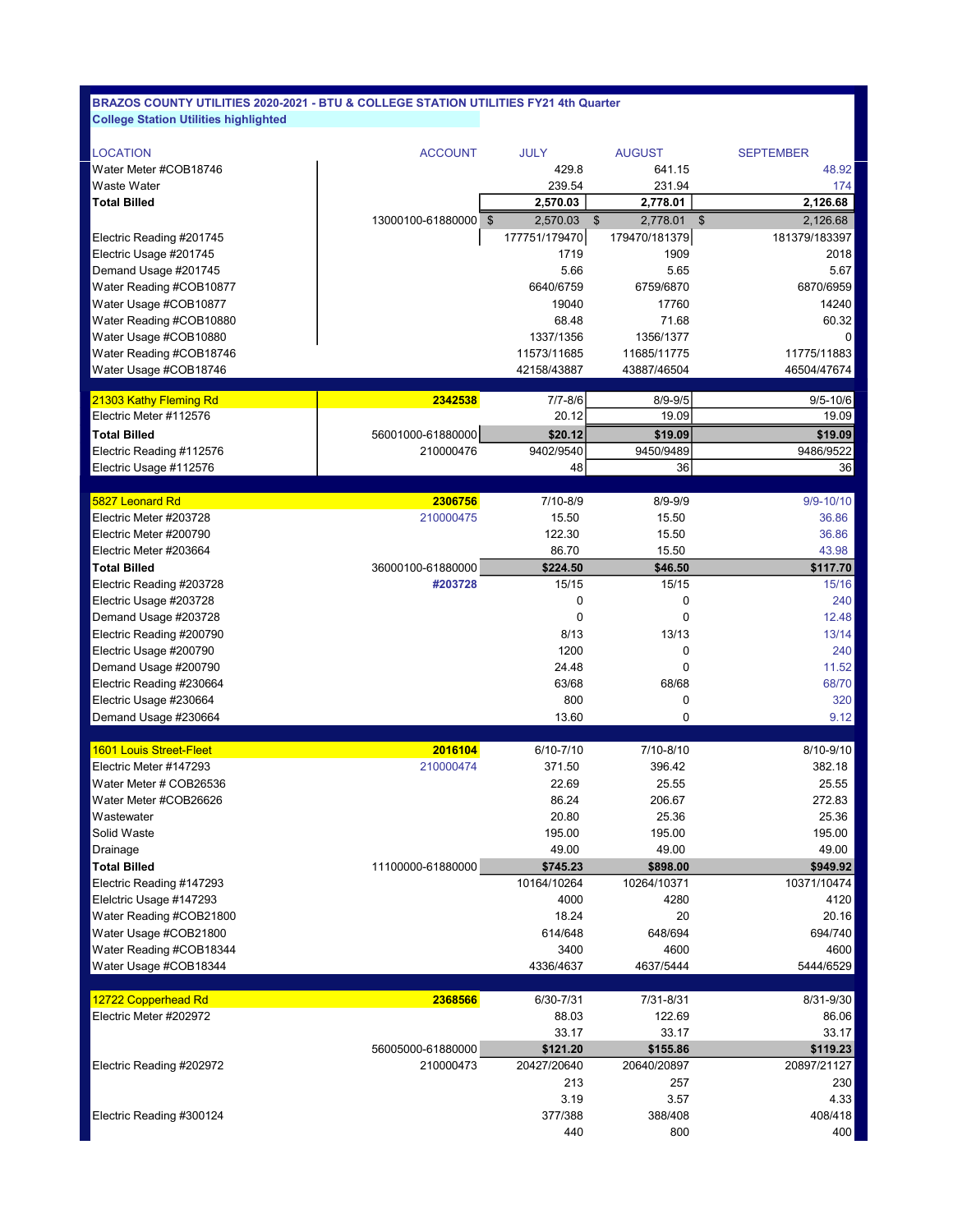| <b>LOCATION</b>                | <b>ACCOUNT</b>       | <b>JULY</b>   | <b>AUGUST</b>              | <b>SEPTEMBER</b>                    |
|--------------------------------|----------------------|---------------|----------------------------|-------------------------------------|
| Water Meter #COB18746          |                      | 429.8         | 641.15                     | 48.92                               |
| Waste Water                    |                      | 239.54        | 231.94                     | 174                                 |
| <b>Total Billed</b>            |                      | 2,570.03      | 2,778.01                   | 2,126.68                            |
|                                | 13000100-61880000 \$ | 2.570.03      | $\mathfrak{S}$<br>2,778.01 | $\sqrt[6]{\frac{1}{2}}$<br>2,126.68 |
| Electric Reading #201745       |                      | 177751/179470 | 179470/181379              | 181379/183397                       |
| Electric Usage #201745         |                      | 1719          | 1909                       | 2018                                |
| Demand Usage #201745           |                      | 5.66          | 5.65                       | 5.67                                |
| Water Reading #COB10877        |                      | 6640/6759     | 6759/6870                  | 6870/6959                           |
| Water Usage #COB10877          |                      | 19040         | 17760                      | 14240                               |
| Water Reading #COB10880        |                      | 68.48         | 71.68                      | 60.32                               |
| Water Usage #COB10880          |                      | 1337/1356     | 1356/1377                  | 0                                   |
| Water Reading #COB18746        |                      | 11573/11685   | 11685/11775                | 11775/11883                         |
| Water Usage #COB18746          |                      | 42158/43887   | 43887/46504                | 46504/47674                         |
| 21303 Kathy Fleming Rd         | 2342538              | $7/7 - 8/6$   | $8/9 - 9/5$                | $9/5 - 10/6$                        |
| Electric Meter #112576         |                      | 20.12         | 19.09                      | 19.09                               |
| <b>Total Billed</b>            | 56001000-61880000    | \$20.12       | \$19.09                    | \$19.09                             |
| Electric Reading #112576       | 210000476            | 9402/9540     | 9450/9489                  | 9486/9522                           |
| Electric Usage #112576         |                      | 48            | 36                         | 36                                  |
|                                |                      |               |                            |                                     |
| 5827 Leonard Rd                | 2306756              | 7/10-8/9      | $8/9 - 9/9$                | $9/9 - 10/10$                       |
| Electric Meter #203728         | 210000475            | 15.50         | 15.50                      | 36.86                               |
| Electric Meter #200790         |                      | 122.30        | 15.50                      | 36.86                               |
| Electric Meter #203664         |                      | 86.70         | 15.50                      | 43.98                               |
| <b>Total Billed</b>            | 36000100-61880000    | \$224.50      | \$46.50                    | \$117.70                            |
| Electric Reading #203728       | #203728              | 15/15         | 15/15                      | 15/16                               |
| Electric Usage #203728         |                      | 0             | 0                          | 240                                 |
| Demand Usage #203728           |                      | 0             | 0                          | 12.48                               |
| Electric Reading #200790       |                      | 8/13          | 13/13                      | 13/14                               |
| Electric Usage #200790         |                      | 1200          | 0                          | 240                                 |
| Demand Usage #200790           |                      | 24.48         | $\mathbf 0$                | 11.52                               |
| Electric Reading #230664       |                      | 63/68         | 68/68                      | 68/70                               |
| Electric Usage #230664         |                      | 800           | 0                          | 320                                 |
| Demand Usage #230664           |                      | 13.60         | 0                          | 9.12                                |
|                                |                      |               |                            |                                     |
| <b>1601 Louis Street-Fleet</b> | 2016104              | 6/10-7/10     | 7/10-8/10                  | 8/10-9/10                           |
| Electric Meter #147293         | 210000474            | 371.50        | 396.42                     | 382.18                              |
| Water Meter # COB26536         |                      | 22.69         | 25.55                      | 25.55                               |
| Water Meter #COB26626          |                      | 86.24         | 206.67                     | 272.83                              |
| Wastewater                     |                      | 20.80         | 25.36                      | 25.36                               |
| Solid Waste                    |                      | 195.00        | 195.00                     | 195.00                              |
| Drainage                       |                      | 49.00         | 49.00                      | 49.00                               |
| <b>Total Billed</b>            | 11100000-61880000    | \$745.23      | \$898.00                   | \$949.92                            |
| Electric Reading #147293       |                      | 10164/10264   | 10264/10371                | 10371/10474                         |
| Elelctric Usage #147293        |                      | 4000          | 4280                       | 4120                                |
| Water Reading #COB21800        |                      | 18.24         | 20                         | 20.16                               |
| Water Usage #COB21800          |                      | 614/648       | 648/694                    | 694/740                             |
| Water Reading #COB18344        |                      | 3400          | 4600                       | 4600                                |
| Water Usage #COB18344          |                      | 4336/4637     | 4637/5444                  | 5444/6529                           |
| 12722 Copperhead Rd            | 2368566              | 6/30-7/31     | 7/31-8/31                  | 8/31-9/30                           |
| Electric Meter #202972         |                      | 88.03         | 122.69                     | 86.06                               |
|                                |                      | 33.17         | 33.17                      | 33.17                               |
|                                | 56005000-61880000    | \$121.20      | \$155.86                   | \$119.23                            |
| Electric Reading #202972       | 210000473            | 20427/20640   | 20640/20897                | 20897/21127                         |
|                                |                      | 213           | 257                        | 230                                 |
|                                |                      | 3.19          | 3.57                       | 4.33                                |
| Electric Reading #300124       |                      | 377/388       | 388/408                    | 408/418                             |
|                                |                      | 440           | 800                        | 400                                 |